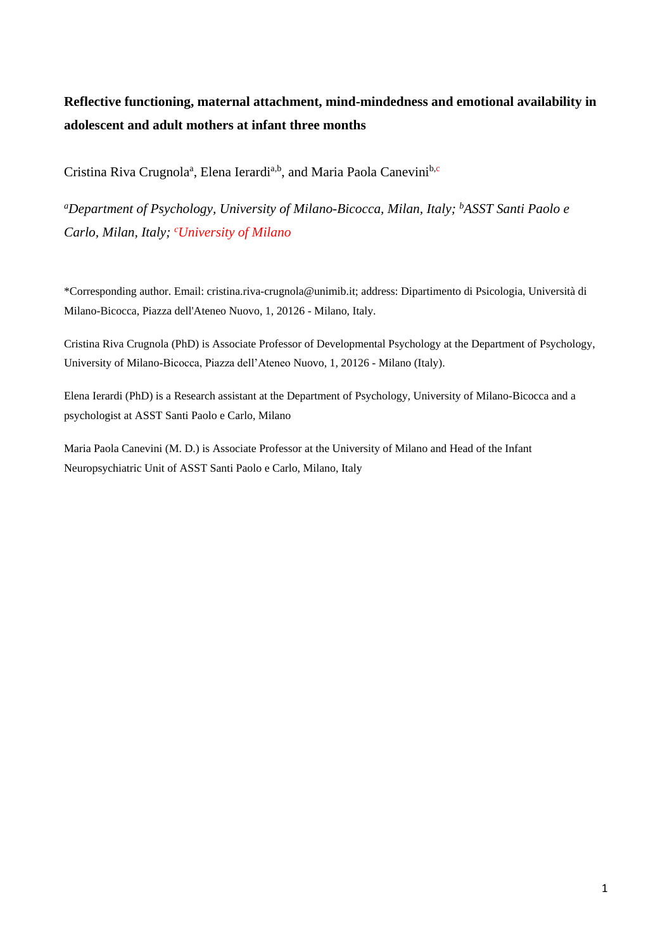# **Reflective functioning, maternal attachment, mind-mindedness and emotional availability in adolescent and adult mothers at infant three months**

Cristina Riva Crugnola<sup>a</sup>, Elena Ierardi<sup>a,b</sup>, and Maria Paola Canevini<sup>b,c</sup>

*<sup>a</sup>Department of Psychology, University of Milano-Bicocca, Milan, Italy; <sup>b</sup>ASST Santi Paolo e Carlo, Milan, Italy; <sup>c</sup>University of Milano*

\*Corresponding author. Email: [cristina.riva-crugnola@unimib.it;](mailto:cristina.riva-crugnola@unimib.it) address: Dipartimento di Psicologia, Università di Milano-Bicocca, Piazza dell'Ateneo Nuovo, 1, 20126 - Milano, Italy.

Cristina Riva Crugnola (PhD) is Associate Professor of Developmental Psychology at the Department of Psychology, University of Milano-Bicocca, Piazza dell'Ateneo Nuovo, 1, 20126 - Milano (Italy).

Elena Ierardi (PhD) is a Research assistant at the Department of Psychology, University of Milano-Bicocca and a psychologist at ASST Santi Paolo e Carlo, Milano

Maria Paola Canevini (M. D.) is Associate Professor at the University of Milano and Head of the Infant Neuropsychiatric Unit of ASST Santi Paolo e Carlo, Milano, Italy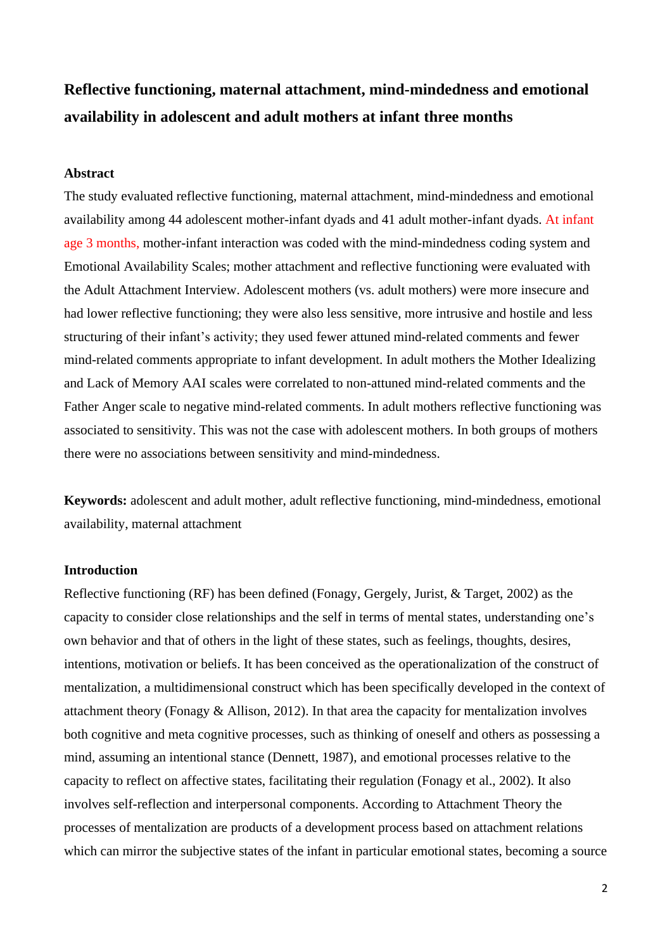# **Reflective functioning, maternal attachment, mind-mindedness and emotional availability in adolescent and adult mothers at infant three months**

### **Abstract**

The study evaluated reflective functioning, maternal attachment, mind-mindedness and emotional availability among 44 adolescent mother-infant dyads and 41 adult mother-infant dyads. At infant age 3 months, mother-infant interaction was coded with the mind-mindedness coding system and Emotional Availability Scales; mother attachment and reflective functioning were evaluated with the Adult Attachment Interview. Adolescent mothers (vs. adult mothers) were more insecure and had lower reflective functioning; they were also less sensitive, more intrusive and hostile and less structuring of their infant's activity; they used fewer attuned mind-related comments and fewer mind-related comments appropriate to infant development. In adult mothers the Mother Idealizing and Lack of Memory AAI scales were correlated to non-attuned mind-related comments and the Father Anger scale to negative mind-related comments. In adult mothers reflective functioning was associated to sensitivity. This was not the case with adolescent mothers. In both groups of mothers there were no associations between sensitivity and mind-mindedness.

**Keywords:** adolescent and adult mother, adult reflective functioning, mind-mindedness, emotional availability, maternal attachment

### **Introduction**

Reflective functioning (RF) has been defined (Fonagy, Gergely, Jurist, & Target, 2002) as the capacity to consider close relationships and the self in terms of mental states, understanding one's own behavior and that of others in the light of these states, such as feelings, thoughts, desires, intentions, motivation or beliefs. It has been conceived as the operationalization of the construct of mentalization, a multidimensional construct which has been specifically developed in the context of attachment theory (Fonagy & Allison, 2012). In that area the capacity for mentalization involves both cognitive and meta cognitive processes, such as thinking of oneself and others as possessing a mind, assuming an intentional stance (Dennett, 1987), and emotional processes relative to the capacity to reflect on affective states, facilitating their regulation (Fonagy et al., 2002). It also involves self-reflection and interpersonal components. According to Attachment Theory the processes of mentalization are products of a development process based on attachment relations which can mirror the subjective states of the infant in particular emotional states, becoming a source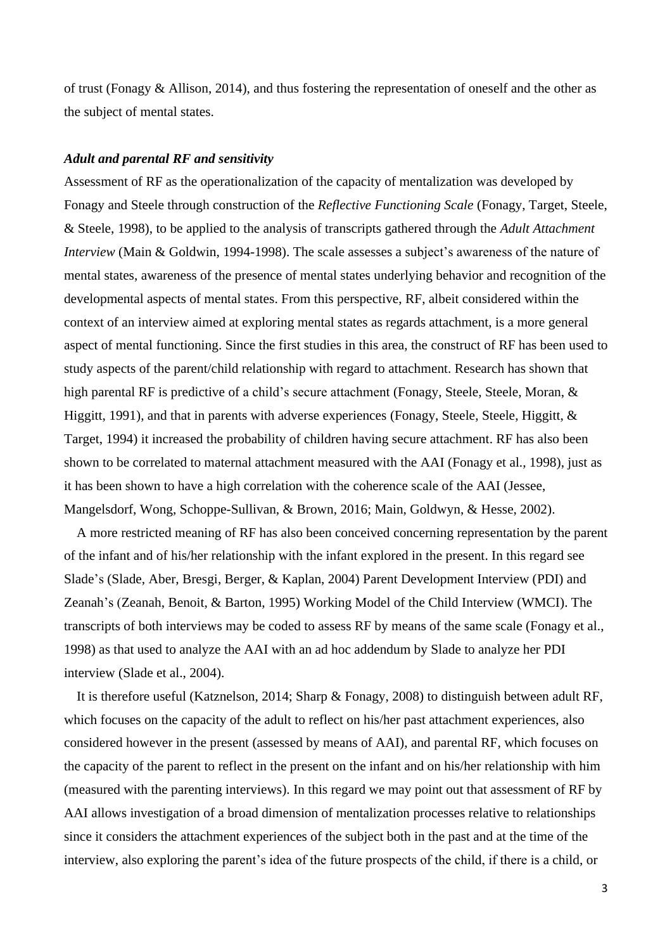of trust (Fonagy & Allison, 2014), and thus fostering the representation of oneself and the other as the subject of mental states.

#### *Adult and parental RF and sensitivity*

Assessment of RF as the operationalization of the capacity of mentalization was developed by Fonagy and Steele through construction of the *Reflective Functioning Scale* (Fonagy, Target, Steele, & Steele, 1998), to be applied to the analysis of transcripts gathered through the *Adult Attachment Interview* (Main & Goldwin, 1994-1998). The scale assesses a subject's awareness of the nature of mental states, awareness of the presence of mental states underlying behavior and recognition of the developmental aspects of mental states. From this perspective, RF, albeit considered within the context of an interview aimed at exploring mental states as regards attachment, is a more general aspect of mental functioning. Since the first studies in this area, the construct of RF has been used to study aspects of the parent/child relationship with regard to attachment. Research has shown that high parental RF is predictive of a child's secure attachment (Fonagy, Steele, Steele, Moran, & Higgitt, 1991), and that in parents with adverse experiences (Fonagy, Steele, Steele, Higgitt, & Target, 1994) it increased the probability of children having secure attachment. RF has also been shown to be correlated to maternal attachment measured with the AAI (Fonagy et al., 1998), just as it has been shown to have a high correlation with the coherence scale of the AAI (Jessee, Mangelsdorf, Wong, Schoppe-Sullivan, & Brown, 2016; Main, Goldwyn, & Hesse, 2002).

A more restricted meaning of RF has also been conceived concerning representation by the parent of the infant and of his/her relationship with the infant explored in the present. In this regard see Slade's (Slade, Aber, Bresgi, Berger, & Kaplan, 2004) Parent Development Interview (PDI) and Zeanah's (Zeanah, Benoit, & Barton, 1995) Working Model of the Child Interview (WMCI). The transcripts of both interviews may be coded to assess RF by means of the same scale (Fonagy et al., 1998) as that used to analyze the AAI with an ad hoc addendum by Slade to analyze her PDI interview (Slade et al., 2004).

It is therefore useful (Katznelson, 2014; Sharp & Fonagy, 2008) to distinguish between adult RF, which focuses on the capacity of the adult to reflect on his/her past attachment experiences, also considered however in the present (assessed by means of AAI), and parental RF, which focuses on the capacity of the parent to reflect in the present on the infant and on his/her relationship with him (measured with the parenting interviews). In this regard we may point out that assessment of RF by AAI allows investigation of a broad dimension of mentalization processes relative to relationships since it considers the attachment experiences of the subject both in the past and at the time of the interview, also exploring the parent's idea of the future prospects of the child, if there is a child, or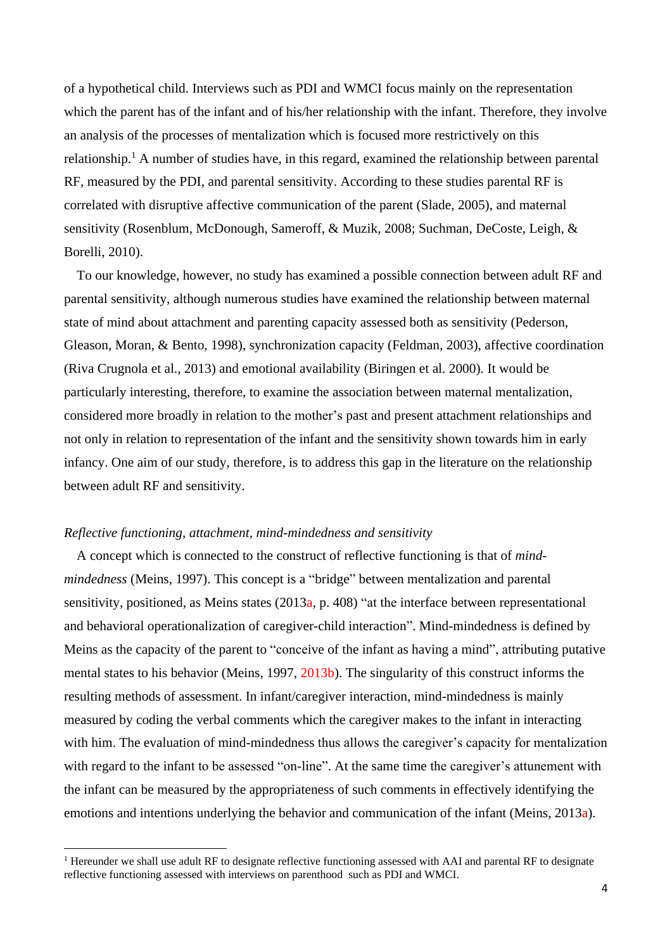of a hypothetical child. Interviews such as PDI and WMCI focus mainly on the representation which the parent has of the infant and of his/her relationship with the infant. Therefore, they involve an analysis of the processes of mentalization which is focused more restrictively on this relationship.<sup>1</sup> A number of studies have, in this regard, examined the relationship between parental RF, measured by the PDI, and parental sensitivity. According to these studies parental RF is correlated with disruptive affective communication of the parent (Slade, 2005), and maternal sensitivity (Rosenblum, McDonough, Sameroff, & Muzik, 2008; Suchman, DeCoste, Leigh, & Borelli, 2010).

To our knowledge, however, no study has examined a possible connection between adult RF and parental sensitivity, although numerous studies have examined the relationship between maternal state of mind about attachment and parenting capacity assessed both as sensitivity (Pederson, Gleason, Moran, & Bento, 1998), synchronization capacity (Feldman, 2003), affective coordination (Riva Crugnola et al., 2013) and emotional availability (Biringen et al. 2000). It would be particularly interesting, therefore, to examine the association between maternal mentalization, considered more broadly in relation to the mother's past and present attachment relationships and not only in relation to representation of the infant and the sensitivity shown towards him in early infancy. One aim of our study, therefore, is to address this gap in the literature on the relationship between adult RF and sensitivity.

#### *Reflective functioning, attachment, mind-mindedness and sensitivity*

A concept which is connected to the construct of reflective functioning is that of *mindmindedness* (Meins, 1997). This concept is a "bridge" between mentalization and parental sensitivity, positioned, as Meins states (2013a, p. 408) "at the interface between representational and behavioral operationalization of caregiver-child interaction". Mind-mindedness is defined by Meins as the capacity of the parent to "conceive of the infant as having a mind", attributing putative mental states to his behavior (Meins, 1997, 2013b). The singularity of this construct informs the resulting methods of assessment. In infant/caregiver interaction, mind-mindedness is mainly measured by coding the verbal comments which the caregiver makes to the infant in interacting with him. The evaluation of mind-mindedness thus allows the caregiver's capacity for mentalization with regard to the infant to be assessed "on-line". At the same time the caregiver's attunement with the infant can be measured by the appropriateness of such comments in effectively identifying the emotions and intentions underlying the behavior and communication of the infant (Meins, 2013a).

<sup>&</sup>lt;sup>1</sup> Hereunder we shall use adult RF to designate reflective functioning assessed with AAI and parental RF to designate reflective functioning assessed with interviews on parenthood such as PDI and WMCI.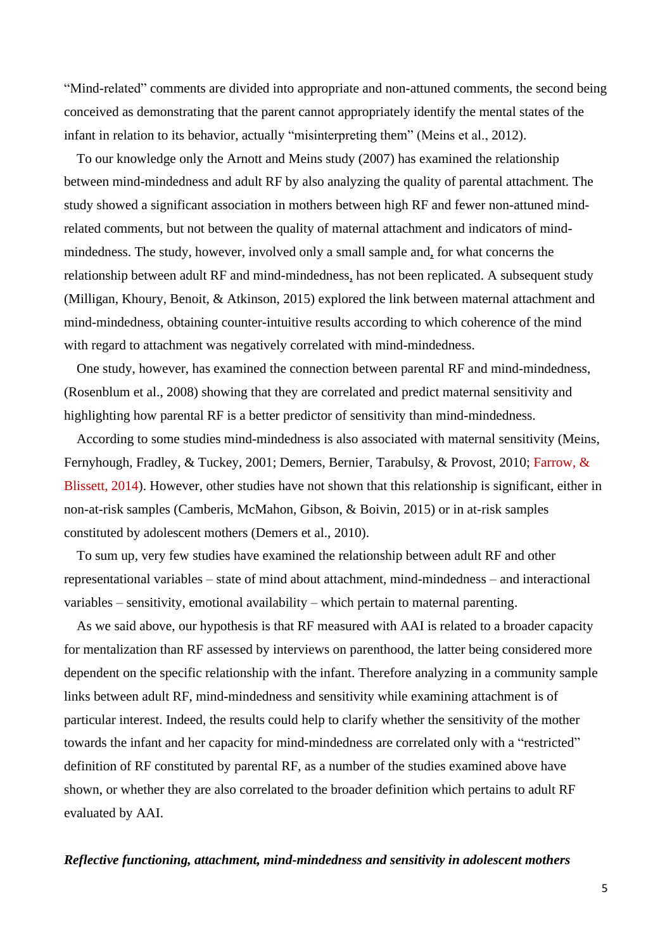"Mind-related" comments are divided into appropriate and non-attuned comments, the second being conceived as demonstrating that the parent cannot appropriately identify the mental states of the infant in relation to its behavior, actually "misinterpreting them" (Meins et al., 2012).

To our knowledge only the Arnott and Meins study (2007) has examined the relationship between mind-mindedness and adult RF by also analyzing the quality of parental attachment. The study showed a significant association in mothers between high RF and fewer non-attuned mindrelated comments, but not between the quality of maternal attachment and indicators of mindmindedness. The study, however, involved only a small sample and, for what concerns the relationship between adult RF and mind-mindedness, has not been replicated. A subsequent study (Milligan, Khoury, Benoit, & Atkinson, 2015) explored the link between maternal attachment and mind-mindedness, obtaining counter-intuitive results according to which coherence of the mind with regard to attachment was negatively correlated with mind-mindedness.

One study, however, has examined the connection between parental RF and mind-mindedness, (Rosenblum et al., 2008) showing that they are correlated and predict maternal sensitivity and highlighting how parental RF is a better predictor of sensitivity than mind-mindedness.

According to some studies mind-mindedness is also associated with maternal sensitivity (Meins, Fernyhough, Fradley, & Tuckey, 2001; Demers, Bernier, Tarabulsy, & Provost, 2010; Farrow, & Blissett, 2014). However, other studies have not shown that this relationship is significant, either in non-at-risk samples (Camberis, McMahon, Gibson, & Boivin, 2015) or in at-risk samples constituted by adolescent mothers (Demers et al., 2010).

To sum up, very few studies have examined the relationship between adult RF and other representational variables – state of mind about attachment, mind-mindedness – and interactional variables – sensitivity, emotional availability – which pertain to maternal parenting.

As we said above, our hypothesis is that RF measured with AAI is related to a broader capacity for mentalization than RF assessed by interviews on parenthood, the latter being considered more dependent on the specific relationship with the infant. Therefore analyzing in a community sample links between adult RF, mind-mindedness and sensitivity while examining attachment is of particular interest. Indeed, the results could help to clarify whether the sensitivity of the mother towards the infant and her capacity for mind-mindedness are correlated only with a "restricted" definition of RF constituted by parental RF, as a number of the studies examined above have shown, or whether they are also correlated to the broader definition which pertains to adult RF evaluated by AAI.

#### *Reflective functioning, attachment, mind-mindedness and sensitivity in adolescent mothers*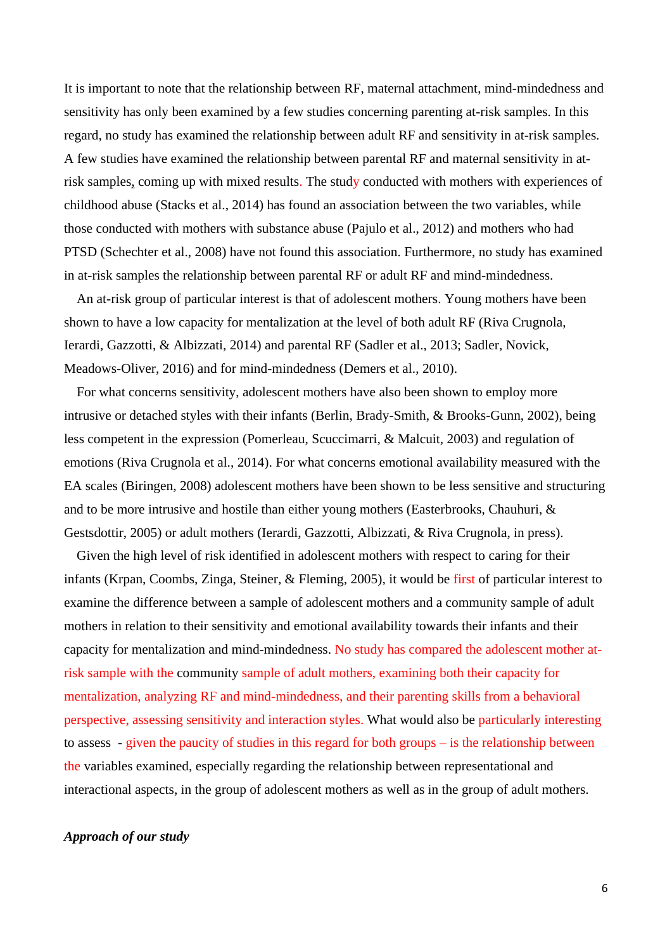It is important to note that the relationship between RF, maternal attachment, mind-mindedness and sensitivity has only been examined by a few studies concerning parenting at-risk samples. In this regard, no study has examined the relationship between adult RF and sensitivity in at-risk samples. A few studies have examined the relationship between parental RF and maternal sensitivity in atrisk samples, coming up with mixed results. The study conducted with mothers with experiences of childhood abuse (Stacks et al., 2014) has found an association between the two variables, while those conducted with mothers with substance abuse (Pajulo et al., 2012) and mothers who had PTSD (Schechter et al., 2008) have not found this association. Furthermore, no study has examined in at-risk samples the relationship between parental RF or adult RF and mind-mindedness.

An at-risk group of particular interest is that of adolescent mothers. Young mothers have been shown to have a low capacity for mentalization at the level of both adult RF (Riva Crugnola, Ierardi, Gazzotti, & Albizzati, 2014) and parental RF (Sadler et al., 2013; Sadler, Novick, Meadows-Oliver, 2016) and for mind-mindedness (Demers et al., 2010).

For what concerns sensitivity, adolescent mothers have also been shown to employ more intrusive or detached styles with their infants (Berlin, Brady-Smith, & Brooks-Gunn, 2002), being less competent in the expression (Pomerleau, Scuccimarri, & Malcuit, 2003) and regulation of emotions (Riva Crugnola et al., 2014). For what concerns emotional availability measured with the EA scales (Biringen, 2008) adolescent mothers have been shown to be less sensitive and structuring and to be more intrusive and hostile than either young mothers (Easterbrooks, Chauhuri, & Gestsdottir, 2005) or adult mothers (Ierardi, Gazzotti, Albizzati, & Riva Crugnola, in press).

Given the high level of risk identified in adolescent mothers with respect to caring for their infants (Krpan, Coombs, Zinga, Steiner, & Fleming, 2005), it would be first of particular interest to examine the difference between a sample of adolescent mothers and a community sample of adult mothers in relation to their sensitivity and emotional availability towards their infants and their capacity for mentalization and mind-mindedness. No study has compared the adolescent mother atrisk sample with the community sample of adult mothers, examining both their capacity for mentalization, analyzing RF and mind-mindedness, and their parenting skills from a behavioral perspective, assessing sensitivity and interaction styles. What would also be particularly interesting to assess - given the paucity of studies in this regard for both groups – is the relationship between the variables examined, especially regarding the relationship between representational and interactional aspects, in the group of adolescent mothers as well as in the group of adult mothers.

#### *Approach of our study*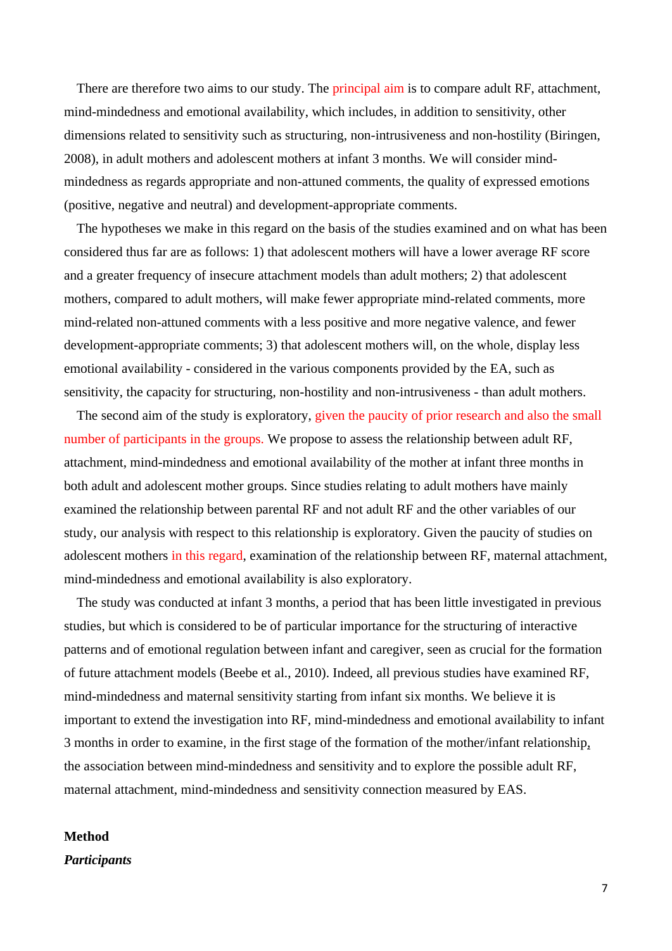There are therefore two aims to our study. The **principal aim** is to compare adult RF, attachment, mind-mindedness and emotional availability, which includes, in addition to sensitivity, other dimensions related to sensitivity such as structuring, non-intrusiveness and non-hostility (Biringen, 2008), in adult mothers and adolescent mothers at infant 3 months. We will consider mindmindedness as regards appropriate and non-attuned comments, the quality of expressed emotions (positive, negative and neutral) and development-appropriate comments.

The hypotheses we make in this regard on the basis of the studies examined and on what has been considered thus far are as follows: 1) that adolescent mothers will have a lower average RF score and a greater frequency of insecure attachment models than adult mothers; 2) that adolescent mothers, compared to adult mothers, will make fewer appropriate mind-related comments, more mind-related non-attuned comments with a less positive and more negative valence, and fewer development-appropriate comments; 3) that adolescent mothers will, on the whole, display less emotional availability - considered in the various components provided by the EA, such as sensitivity, the capacity for structuring, non-hostility and non-intrusiveness - than adult mothers.

The second aim of the study is exploratory, given the paucity of prior research and also the small number of participants in the groups. We propose to assess the relationship between adult RF, attachment, mind-mindedness and emotional availability of the mother at infant three months in both adult and adolescent mother groups. Since studies relating to adult mothers have mainly examined the relationship between parental RF and not adult RF and the other variables of our study, our analysis with respect to this relationship is exploratory. Given the paucity of studies on adolescent mothers in this regard, examination of the relationship between RF, maternal attachment, mind-mindedness and emotional availability is also exploratory.

The study was conducted at infant 3 months, a period that has been little investigated in previous studies, but which is considered to be of particular importance for the structuring of interactive patterns and of emotional regulation between infant and caregiver, seen as crucial for the formation of future attachment models (Beebe et al., 2010). Indeed, all previous studies have examined RF, mind-mindedness and maternal sensitivity starting from infant six months. We believe it is important to extend the investigation into RF, mind-mindedness and emotional availability to infant 3 months in order to examine, in the first stage of the formation of the mother/infant relationship, the association between mind-mindedness and sensitivity and to explore the possible adult RF, maternal attachment, mind-mindedness and sensitivity connection measured by EAS.

# **Method** *Participants*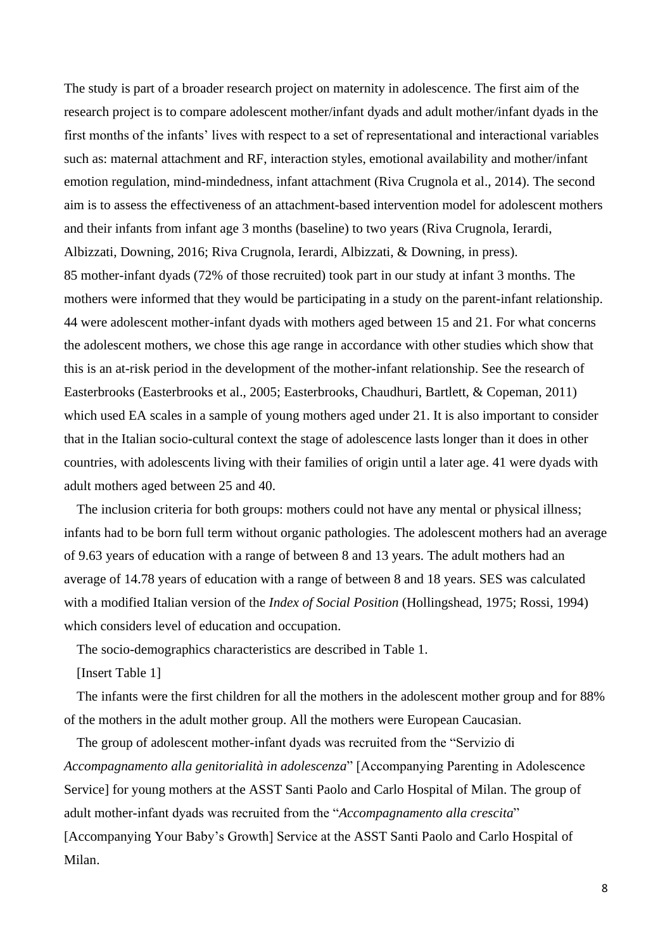The study is part of a broader research project on maternity in adolescence. The first aim of the research project is to compare adolescent mother/infant dyads and adult mother/infant dyads in the first months of the infants' lives with respect to a set of representational and interactional variables such as: maternal attachment and RF, interaction styles, emotional availability and mother/infant emotion regulation, mind-mindedness, infant attachment (Riva Crugnola et al., 2014). The second aim is to assess the effectiveness of an attachment-based intervention model for adolescent mothers and their infants from infant age 3 months (baseline) to two years (Riva Crugnola, Ierardi, Albizzati, Downing, 2016; Riva Crugnola, Ierardi, Albizzati, & Downing, in press). 85 mother-infant dyads (72% of those recruited) took part in our study at infant 3 months. The mothers were informed that they would be participating in a study on the parent-infant relationship. 44 were adolescent mother-infant dyads with mothers aged between 15 and 21. For what concerns the adolescent mothers, we chose this age range in accordance with other studies which show that this is an at-risk period in the development of the mother-infant relationship. See the research of Easterbrooks (Easterbrooks et al., 2005; Easterbrooks, Chaudhuri, Bartlett, & Copeman, 2011) which used EA scales in a sample of young mothers aged under 21. It is also important to consider that in the Italian socio-cultural context the stage of adolescence lasts longer than it does in other countries, with adolescents living with their families of origin until a later age. 41 were dyads with adult mothers aged between 25 and 40.

The inclusion criteria for both groups: mothers could not have any mental or physical illness; infants had to be born full term without organic pathologies. The adolescent mothers had an average of 9.63 years of education with a range of between 8 and 13 years. The adult mothers had an average of 14.78 years of education with a range of between 8 and 18 years. SES was calculated with a modified Italian version of the *Index of Social Position* (Hollingshead, 1975; Rossi, 1994) which considers level of education and occupation.

The socio-demographics characteristics are described in Table 1.

[Insert Table 1]

The infants were the first children for all the mothers in the adolescent mother group and for 88% of the mothers in the adult mother group. All the mothers were European Caucasian.

The group of adolescent mother-infant dyads was recruited from the "Servizio di *Accompagnamento alla genitorialità in adolescenza*" [Accompanying Parenting in Adolescence Service] for young mothers at the ASST Santi Paolo and Carlo Hospital of Milan. The group of adult mother-infant dyads was recruited from the "*Accompagnamento alla crescita*" [Accompanying Your Baby's Growth] Service at the ASST Santi Paolo and Carlo Hospital of Milan.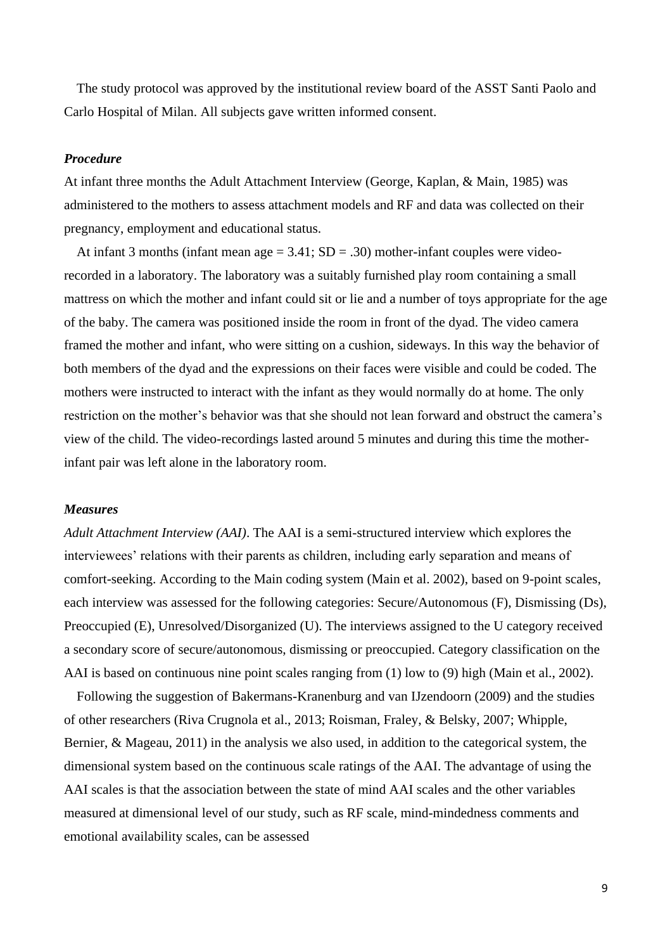The study protocol was approved by the institutional review board of the ASST Santi Paolo and Carlo Hospital of Milan. All subjects gave written informed consent.

### *Procedure*

At infant three months the Adult Attachment Interview (George, Kaplan, & Main, 1985) was administered to the mothers to assess attachment models and RF and data was collected on their pregnancy, employment and educational status.

At infant 3 months (infant mean age  $= 3.41$ ; SD  $= .30$ ) mother-infant couples were videorecorded in a laboratory. The laboratory was a suitably furnished play room containing a small mattress on which the mother and infant could sit or lie and a number of toys appropriate for the age of the baby. The camera was positioned inside the room in front of the dyad. The video camera framed the mother and infant, who were sitting on a cushion, sideways. In this way the behavior of both members of the dyad and the expressions on their faces were visible and could be coded. The mothers were instructed to interact with the infant as they would normally do at home. The only restriction on the mother's behavior was that she should not lean forward and obstruct the camera's view of the child. The video-recordings lasted around 5 minutes and during this time the motherinfant pair was left alone in the laboratory room.

#### *Measures*

*Adult Attachment Interview (AAI)*. The AAI is a semi-structured interview which explores the interviewees' relations with their parents as children, including early separation and means of comfort-seeking. According to the Main coding system (Main et al. 2002), based on 9-point scales, each interview was assessed for the following categories: Secure/Autonomous (F), Dismissing (Ds), Preoccupied (E), Unresolved/Disorganized (U). The interviews assigned to the U category received a secondary score of secure/autonomous, dismissing or preoccupied. Category classification on the AAI is based on continuous nine point scales ranging from (1) low to (9) high (Main et al., 2002).

Following the suggestion of Bakermans-Kranenburg and van IJzendoorn (2009) and the studies of other researchers (Riva Crugnola et al., 2013; Roisman, Fraley, & Belsky, 2007; Whipple, Bernier, & Mageau, 2011) in the analysis we also used, in addition to the categorical system, the dimensional system based on the continuous scale ratings of the AAI. The advantage of using the AAI scales is that the association between the state of mind AAI scales and the other variables measured at dimensional level of our study, such as RF scale, mind-mindedness comments and emotional availability scales, can be assessed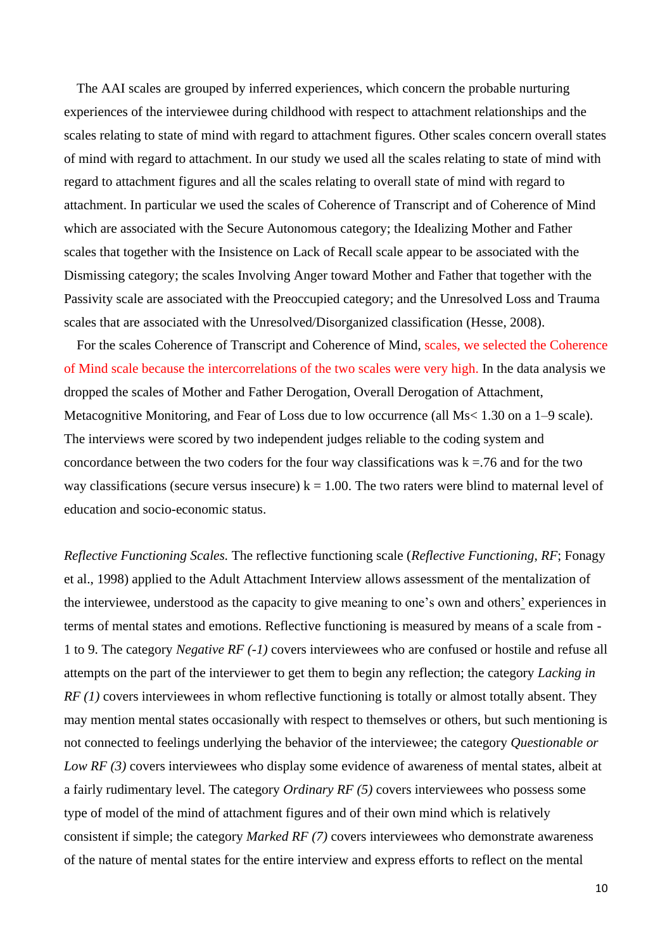The AAI scales are grouped by inferred experiences, which concern the probable nurturing experiences of the interviewee during childhood with respect to attachment relationships and the scales relating to state of mind with regard to attachment figures. Other scales concern overall states of mind with regard to attachment. In our study we used all the scales relating to state of mind with regard to attachment figures and all the scales relating to overall state of mind with regard to attachment. In particular we used the scales of Coherence of Transcript and of Coherence of Mind which are associated with the Secure Autonomous category; the Idealizing Mother and Father scales that together with the Insistence on Lack of Recall scale appear to be associated with the Dismissing category; the scales Involving Anger toward Mother and Father that together with the Passivity scale are associated with the Preoccupied category; and the Unresolved Loss and Trauma scales that are associated with the Unresolved/Disorganized classification (Hesse, 2008).

For the scales Coherence of Transcript and Coherence of Mind, scales, we selected the Coherence of Mind scale because the intercorrelations of the two scales were very high. In the data analysis we dropped the scales of Mother and Father Derogation, Overall Derogation of Attachment, Metacognitive Monitoring, and Fear of Loss due to low occurrence (all Ms< 1.30 on a 1–9 scale). The interviews were scored by two independent judges reliable to the coding system and concordance between the two coders for the four way classifications was  $k = 76$  and for the two way classifications (secure versus insecure)  $k = 1.00$ . The two raters were blind to maternal level of education and socio-economic status.

*Reflective Functioning Scales.* The reflective functioning scale (*Reflective Functioning*, *RF*; Fonagy et al., 1998) applied to the Adult Attachment Interview allows assessment of the mentalization of the interviewee, understood as the capacity to give meaning to one's own and others' experiences in terms of mental states and emotions. Reflective functioning is measured by means of a scale from - 1 to 9. The category *Negative RF (-1)* covers interviewees who are confused or hostile and refuse all attempts on the part of the interviewer to get them to begin any reflection; the category *Lacking in RF (1)* covers interviewees in whom reflective functioning is totally or almost totally absent. They may mention mental states occasionally with respect to themselves or others, but such mentioning is not connected to feelings underlying the behavior of the interviewee; the category *Questionable or Low RF (3)* covers interviewees who display some evidence of awareness of mental states, albeit at a fairly rudimentary level. The category *Ordinary RF (5)* covers interviewees who possess some type of model of the mind of attachment figures and of their own mind which is relatively consistent if simple; the category *Marked RF (7)* covers interviewees who demonstrate awareness of the nature of mental states for the entire interview and express efforts to reflect on the mental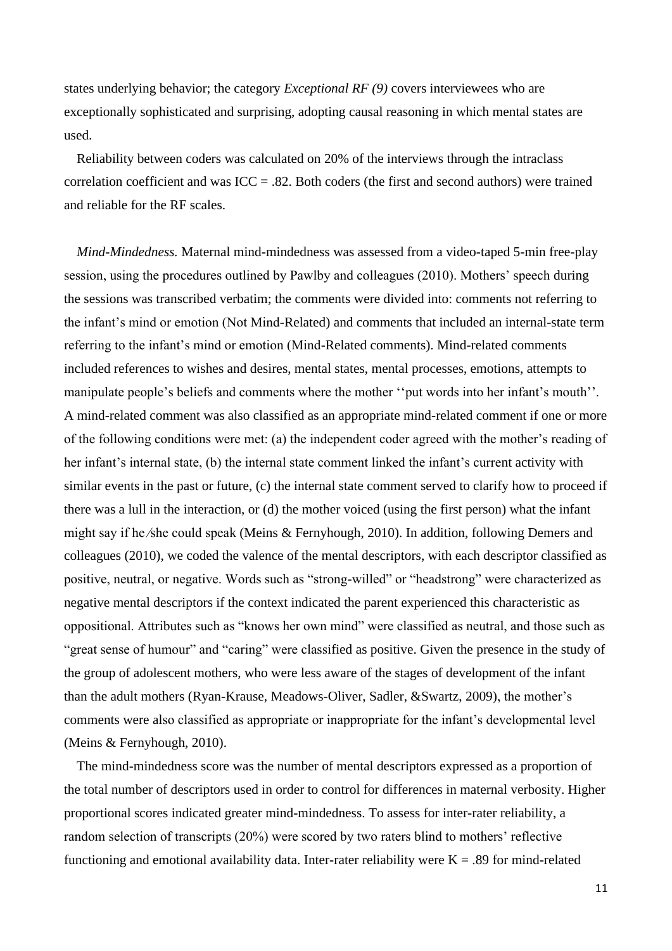states underlying behavior; the category *Exceptional RF (9)* covers interviewees who are exceptionally sophisticated and surprising, adopting causal reasoning in which mental states are used.

Reliability between coders was calculated on 20% of the interviews through the intraclass correlation coefficient and was  $ICC = .82$ . Both coders (the first and second authors) were trained and reliable for the RF scales.

*Mind-Mindedness.* Maternal mind-mindedness was assessed from a video-taped 5-min free-play session, using the procedures outlined by Pawlby and colleagues (2010). Mothers' speech during the sessions was transcribed verbatim; the comments were divided into: comments not referring to the infant's mind or emotion (Not Mind-Related) and comments that included an internal-state term referring to the infant's mind or emotion (Mind-Related comments). Mind-related comments included references to wishes and desires, mental states, mental processes, emotions, attempts to manipulate people's beliefs and comments where the mother ''put words into her infant's mouth''. A mind-related comment was also classified as an appropriate mind-related comment if one or more of the following conditions were met: (a) the independent coder agreed with the mother's reading of her infant's internal state, (b) the internal state comment linked the infant's current activity with similar events in the past or future, (c) the internal state comment served to clarify how to proceed if there was a lull in the interaction, or (d) the mother voiced (using the first person) what the infant might say if he ⁄she could speak (Meins & Fernyhough, 2010). In addition, following Demers and colleagues (2010), we coded the valence of the mental descriptors, with each descriptor classified as positive, neutral, or negative. Words such as "strong-willed" or "headstrong" were characterized as negative mental descriptors if the context indicated the parent experienced this characteristic as oppositional. Attributes such as "knows her own mind" were classified as neutral, and those such as "great sense of humour" and "caring" were classified as positive. Given the presence in the study of the group of adolescent mothers, who were less aware of the stages of development of the infant than the adult mothers (Ryan-Krause, Meadows-Oliver, Sadler, &Swartz, 2009), the mother's comments were also classified as appropriate or inappropriate for the infant's developmental level (Meins & Fernyhough, 2010).

The mind-mindedness score was the number of mental descriptors expressed as a proportion of the total number of descriptors used in order to control for differences in maternal verbosity. Higher proportional scores indicated greater mind-mindedness. To assess for inter-rater reliability, a random selection of transcripts (20%) were scored by two raters blind to mothers' reflective functioning and emotional availability data. Inter-rater reliability were  $K = .89$  for mind-related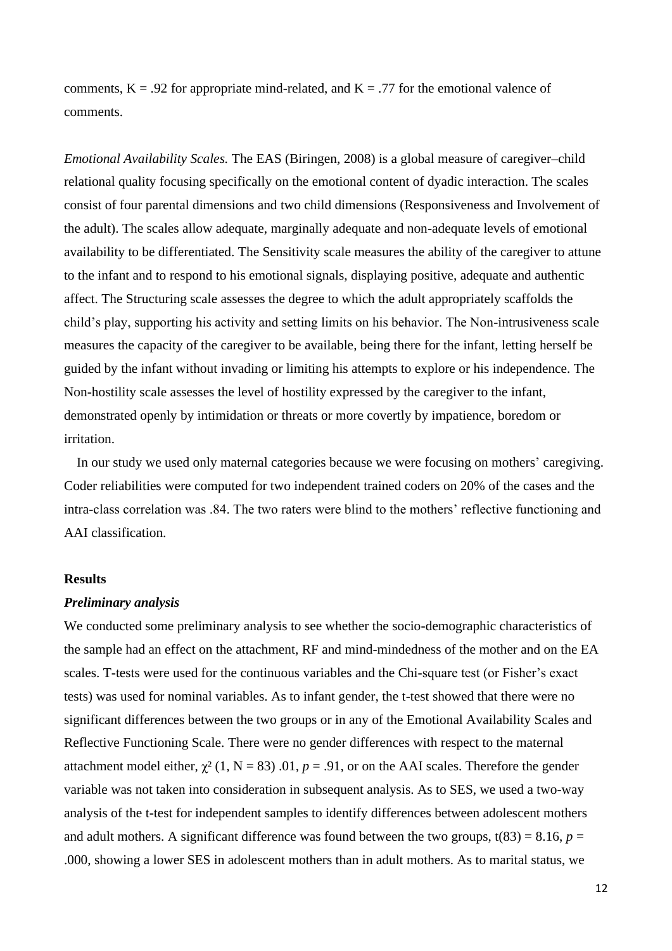comments,  $K = .92$  for appropriate mind-related, and  $K = .77$  for the emotional valence of comments.

*Emotional Availability Scales.* The EAS (Biringen, 2008) is a global measure of caregiver–child relational quality focusing specifically on the emotional content of dyadic interaction. The scales consist of four parental dimensions and two child dimensions (Responsiveness and Involvement of the adult). The scales allow adequate, marginally adequate and non-adequate levels of emotional availability to be differentiated. The Sensitivity scale measures the ability of the caregiver to attune to the infant and to respond to his emotional signals, displaying positive, adequate and authentic affect. The Structuring scale assesses the degree to which the adult appropriately scaffolds the child's play, supporting his activity and setting limits on his behavior. The Non-intrusiveness scale measures the capacity of the caregiver to be available, being there for the infant, letting herself be guided by the infant without invading or limiting his attempts to explore or his independence. The Non-hostility scale assesses the level of hostility expressed by the caregiver to the infant, demonstrated openly by intimidation or threats or more covertly by impatience, boredom or irritation.

In our study we used only maternal categories because we were focusing on mothers' caregiving. Coder reliabilities were computed for two independent trained coders on 20% of the cases and the intra-class correlation was .84. The two raters were blind to the mothers' reflective functioning and AAI classification.

#### **Results**

#### *Preliminary analysis*

We conducted some preliminary analysis to see whether the socio-demographic characteristics of the sample had an effect on the attachment, RF and mind-mindedness of the mother and on the EA scales. T-tests were used for the continuous variables and the Chi-square test (or Fisher's exact tests) was used for nominal variables. As to infant gender, the t-test showed that there were no significant differences between the two groups or in any of the Emotional Availability Scales and Reflective Functioning Scale. There were no gender differences with respect to the maternal attachment model either,  $\chi^2$  (1, N = 83) .01,  $p = .91$ , or on the AAI scales. Therefore the gender variable was not taken into consideration in subsequent analysis. As to SES, we used a two-way analysis of the t-test for independent samples to identify differences between adolescent mothers and adult mothers. A significant difference was found between the two groups,  $t(83) = 8.16$ ,  $p =$ .000, showing a lower SES in adolescent mothers than in adult mothers. As to marital status, we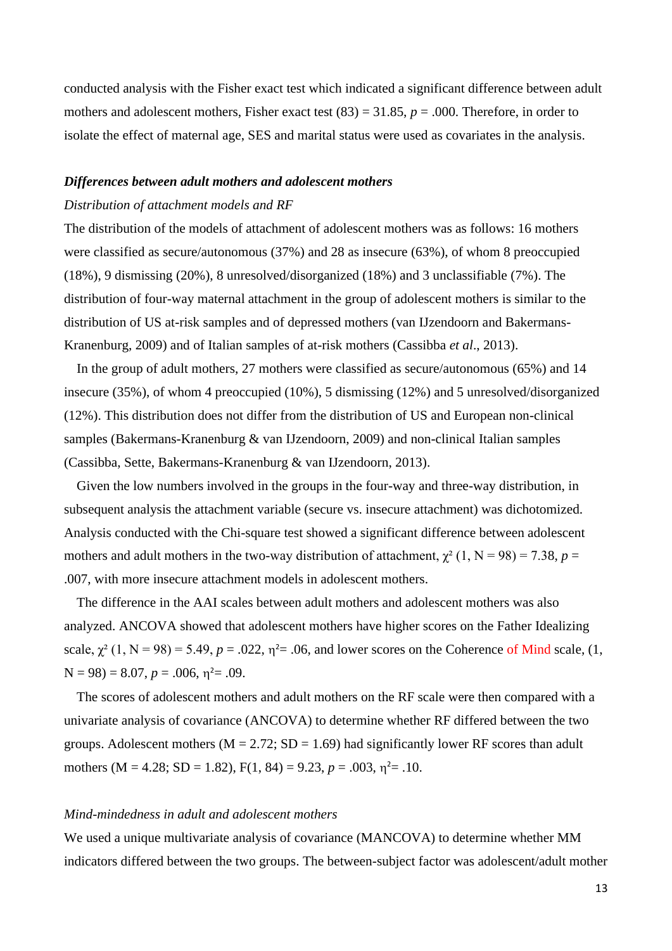conducted analysis with the Fisher exact test which indicated a significant difference between adult mothers and adolescent mothers, Fisher exact test  $(83) = 31.85$ ,  $p = .000$ . Therefore, in order to isolate the effect of maternal age, SES and marital status were used as covariates in the analysis.

#### *Differences between adult mothers and adolescent mothers*

#### *Distribution of attachment models and RF*

The distribution of the models of attachment of adolescent mothers was as follows: 16 mothers were classified as secure/autonomous (37%) and 28 as insecure (63%), of whom 8 preoccupied (18%), 9 dismissing (20%), 8 unresolved/disorganized (18%) and 3 unclassifiable (7%). The distribution of four-way maternal attachment in the group of adolescent mothers is similar to the distribution of US at-risk samples and of depressed mothers (van IJzendoorn and Bakermans-Kranenburg, 2009) and of Italian samples of at-risk mothers (Cassibba *et al*., 2013).

In the group of adult mothers, 27 mothers were classified as secure/autonomous (65%) and 14 insecure (35%), of whom 4 preoccupied (10%), 5 dismissing (12%) and 5 unresolved/disorganized (12%). This distribution does not differ from the distribution of US and European non-clinical samples (Bakermans-Kranenburg & van IJzendoorn, 2009) and non-clinical Italian samples (Cassibba, Sette, Bakermans-Kranenburg & van IJzendoorn, 2013).

Given the low numbers involved in the groups in the four-way and three-way distribution, in subsequent analysis the attachment variable (secure vs. insecure attachment) was dichotomized. Analysis conducted with the Chi-square test showed a significant difference between adolescent mothers and adult mothers in the two-way distribution of attachment,  $\chi^2$  (1, N = 98) = 7.38, *p* = .007, with more insecure attachment models in adolescent mothers.

The difference in the AAI scales between adult mothers and adolescent mothers was also analyzed. ANCOVA showed that adolescent mothers have higher scores on the Father Idealizing scale,  $\chi^2$  (1, N = 98) = 5.49,  $p = .022$ ,  $\eta^2 = .06$ , and lower scores on the Coherence of Mind scale, (1,  $N = 98$ ) = 8.07,  $p = .006$ ,  $\eta^2 = .09$ .

The scores of adolescent mothers and adult mothers on the RF scale were then compared with a univariate analysis of covariance (ANCOVA) to determine whether RF differed between the two groups. Adolescent mothers ( $M = 2.72$ ; SD = 1.69) had significantly lower RF scores than adult mothers (M = 4.28; SD = 1.82),  $F(1, 84) = 9.23$ ,  $p = .003$ ,  $\eta^2 = .10$ .

#### *Mind-mindedness in adult and adolescent mothers*

We used a unique multivariate analysis of covariance (MANCOVA) to determine whether MM indicators differed between the two groups. The between-subject factor was adolescent/adult mother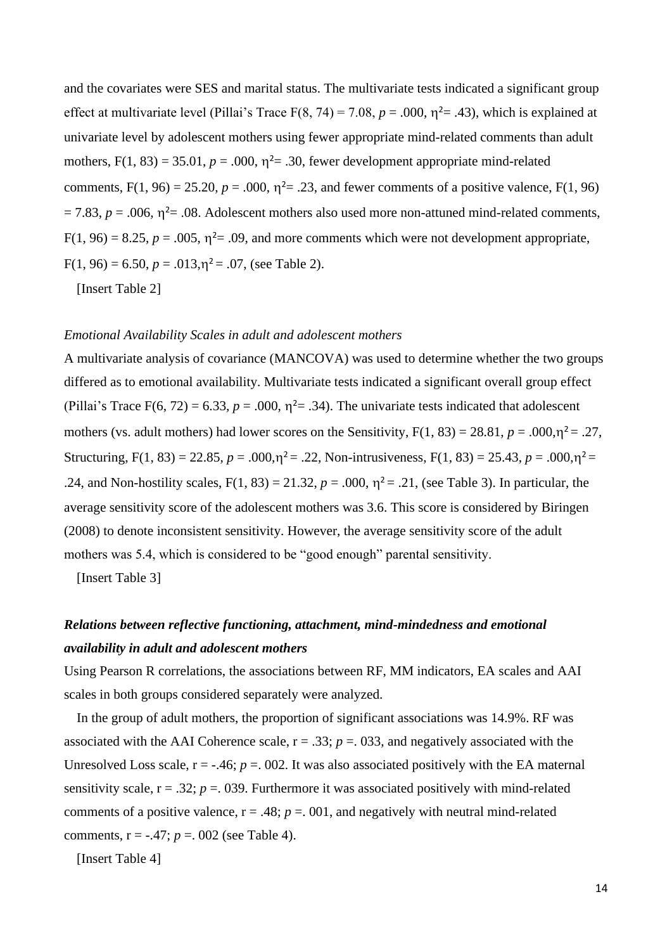and the covariates were SES and marital status. The multivariate tests indicated a significant group effect at multivariate level (Pillai's Trace  $F(8, 74) = 7.08$ ,  $p = .000$ ,  $\eta^2 = .43$ ), which is explained at univariate level by adolescent mothers using fewer appropriate mind-related comments than adult mothers,  $F(1, 83) = 35.01$ ,  $p = .000$ ,  $\eta^2 = .30$ , fewer development appropriate mind-related comments,  $F(1, 96) = 25.20$ ,  $p = .000$ ,  $\eta^2 = .23$ , and fewer comments of a positive valence,  $F(1, 96)$  $= 7.83$ ,  $p = .006$ ,  $\eta^2 = .08$ . Adolescent mothers also used more non-attuned mind-related comments,  $F(1, 96) = 8.25$ ,  $p = .005$ ,  $\eta^2 = .09$ , and more comments which were not development appropriate,  $F(1, 96) = 6.50, p = .013, \eta^2 = .07$ , (see Table 2).

[Insert Table 2]

#### *Emotional Availability Scales in adult and adolescent mothers*

A multivariate analysis of covariance (MANCOVA) was used to determine whether the two groups differed as to emotional availability. Multivariate tests indicated a significant overall group effect (Pillai's Trace F(6, 72) = 6.33,  $p = .000$ ,  $\eta^2 = .34$ ). The univariate tests indicated that adolescent mothers (vs. adult mothers) had lower scores on the Sensitivity,  $F(1, 83) = 28.81$ ,  $p = .000$ ,  $\eta^2 = .27$ , Structuring,  $F(1, 83) = 22.85$ ,  $p = .000$ ,  $\eta^2 = .22$ , Non-intrusiveness,  $F(1, 83) = 25.43$ ,  $p = .000$ ,  $\eta^2 =$ .24, and Non-hostility scales,  $F(1, 83) = 21.32$ ,  $p = .000$ ,  $\eta^2 = .21$ , (see Table 3). In particular, the average sensitivity score of the adolescent mothers was 3.6. This score is considered by Biringen (2008) to denote inconsistent sensitivity. However, the average sensitivity score of the adult mothers was 5.4, which is considered to be "good enough" parental sensitivity.

[Insert Table 3]

# *Relations between reflective functioning, attachment, mind-mindedness and emotional availability in adult and adolescent mothers*

Using Pearson R correlations, the associations between RF, MM indicators, EA scales and AAI scales in both groups considered separately were analyzed.

In the group of adult mothers, the proportion of significant associations was 14.9%. RF was associated with the AAI Coherence scale,  $r = .33$ ;  $p = .033$ , and negatively associated with the Unresolved Loss scale,  $r = -0.46$ ;  $p = 0.002$ . It was also associated positively with the EA maternal sensitivity scale,  $r = .32$ ;  $p = .039$ . Furthermore it was associated positively with mind-related comments of a positive valence,  $r = .48$ ;  $p = .001$ , and negatively with neutral mind-related comments,  $r = -.47$ ;  $p = .002$  (see Table 4).

[Insert Table 4]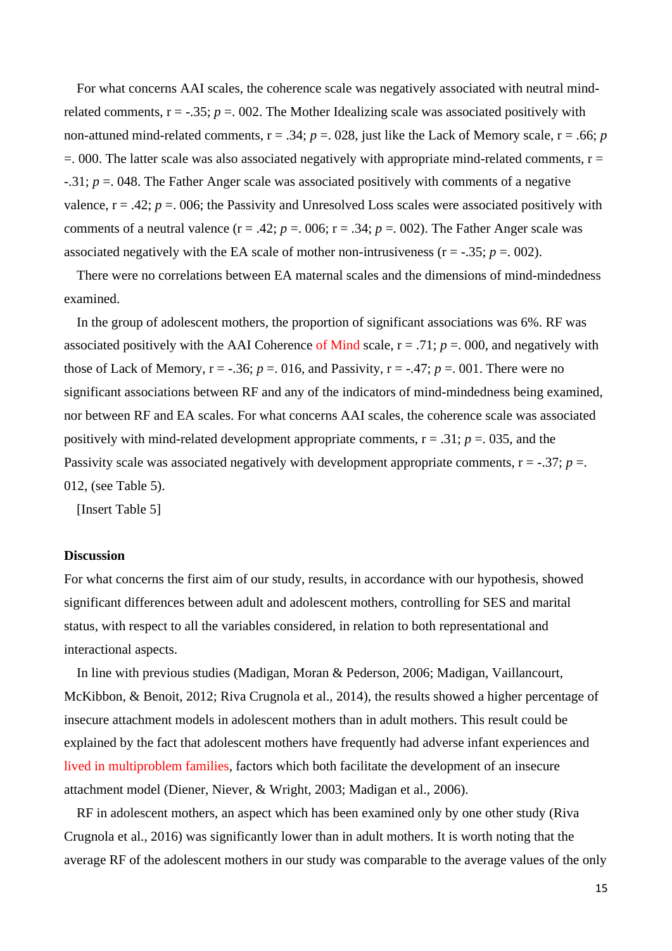For what concerns AAI scales, the coherence scale was negatively associated with neutral mindrelated comments,  $r = -.35$ ;  $p = .002$ . The Mother Idealizing scale was associated positively with non-attuned mind-related comments,  $r = .34$ ;  $p = .028$ , just like the Lack of Memory scale,  $r = .66$ ; *p*  $=$ . 000. The latter scale was also associated negatively with appropriate mind-related comments,  $r =$ -.31; *p* = 048. The Father Anger scale was associated positively with comments of a negative valence,  $r = .42$ ;  $p = .006$ ; the Passivity and Unresolved Loss scales were associated positively with comments of a neutral valence ( $r = .42$ ;  $p = .006$ ;  $r = .34$ ;  $p = .002$ ). The Father Anger scale was associated negatively with the EA scale of mother non-intrusiveness  $(r = -.35; p = .002)$ .

There were no correlations between EA maternal scales and the dimensions of mind-mindedness examined.

In the group of adolescent mothers, the proportion of significant associations was 6%. RF was associated positively with the AAI Coherence of Mind scale,  $r = .71$ ;  $p = .000$ , and negatively with those of Lack of Memory,  $r = -.36$ ;  $p = .016$ , and Passivity,  $r = -.47$ ;  $p = .001$ . There were no significant associations between RF and any of the indicators of mind-mindedness being examined, nor between RF and EA scales. For what concerns AAI scales, the coherence scale was associated positively with mind-related development appropriate comments,  $r = .31$ ;  $p = .035$ , and the Passivity scale was associated negatively with development appropriate comments,  $r = -.37$ ;  $p = .$ 012, (see Table 5).

[Insert Table 5]

#### **Discussion**

For what concerns the first aim of our study, results, in accordance with our hypothesis, showed significant differences between adult and adolescent mothers, controlling for SES and marital status, with respect to all the variables considered, in relation to both representational and interactional aspects.

In line with previous studies (Madigan, Moran & Pederson, 2006; Madigan, Vaillancourt, McKibbon, & Benoit, 2012; Riva Crugnola et al., 2014), the results showed a higher percentage of insecure attachment models in adolescent mothers than in adult mothers. This result could be explained by the fact that adolescent mothers have frequently had adverse infant experiences and lived in multiproblem families, factors which both facilitate the development of an insecure attachment model (Diener, Niever, & Wright, 2003; Madigan et al., 2006).

RF in adolescent mothers, an aspect which has been examined only by one other study (Riva Crugnola et al., 2016) was significantly lower than in adult mothers. It is worth noting that the average RF of the adolescent mothers in our study was comparable to the average values of the only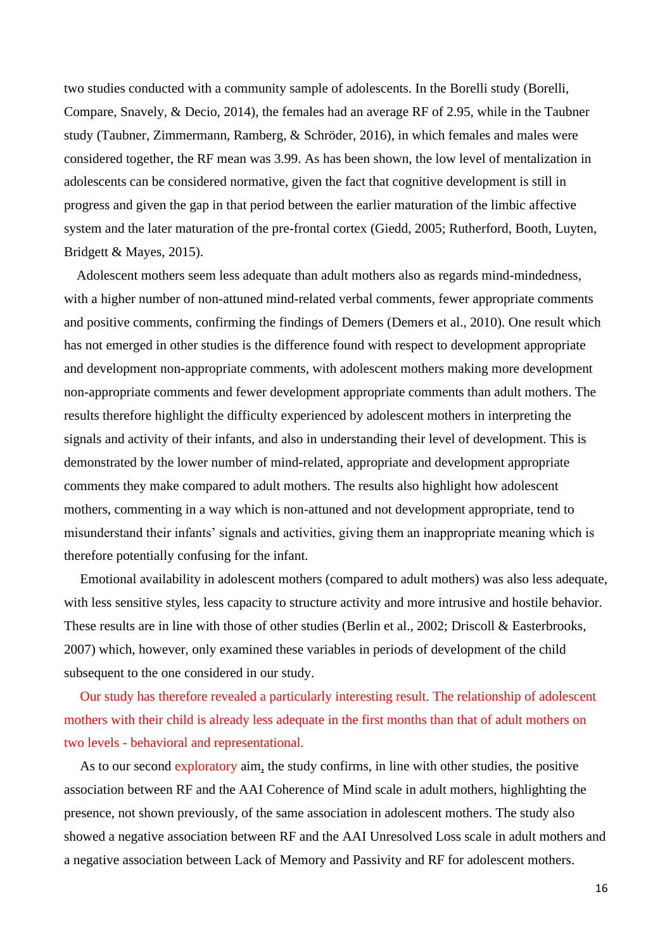two studies conducted with a community sample of adolescents. In the Borelli study (Borelli, Compare, Snavely, & Decio, 2014), the females had an average RF of 2.95, while in the Taubner study (Taubner, Zimmermann, Ramberg, & Schröder, 2016), in which females and males were considered together, the RF mean was 3.99. As has been shown, the low level of mentalization in adolescents can be considered normative, given the fact that cognitive development is still in progress and given the gap in that period between the earlier maturation of the limbic affective system and the later maturation of the pre-frontal cortex (Giedd, 2005; Rutherford, Booth, Luyten, Bridgett & Mayes, 2015).

Adolescent mothers seem less adequate than adult mothers also as regards mind-mindedness, with a higher number of non-attuned mind-related verbal comments, fewer appropriate comments and positive comments, confirming the findings of Demers (Demers et al., 2010). One result which has not emerged in other studies is the difference found with respect to development appropriate and development non-appropriate comments, with adolescent mothers making more development non-appropriate comments and fewer development appropriate comments than adult mothers. The results therefore highlight the difficulty experienced by adolescent mothers in interpreting the signals and activity of their infants, and also in understanding their level of development. This is demonstrated by the lower number of mind-related, appropriate and development appropriate comments they make compared to adult mothers. The results also highlight how adolescent mothers, commenting in a way which is non-attuned and not development appropriate, tend to misunderstand their infants' signals and activities, giving them an inappropriate meaning which is therefore potentially confusing for the infant.

Emotional availability in adolescent mothers (compared to adult mothers) was also less adequate, with less sensitive styles, less capacity to structure activity and more intrusive and hostile behavior. These results are in line with those of other studies (Berlin et al., 2002; Driscoll & Easterbrooks, 2007) which, however, only examined these variables in periods of development of the child subsequent to the one considered in our study.

Our study has therefore revealed a particularly interesting result. The relationship of adolescent mothers with their child is already less adequate in the first months than that of adult mothers on two levels - behavioral and representational.

As to our second exploratory aim, the study confirms, in line with other studies, the positive association between RF and the AAI Coherence of Mind scale in adult mothers, highlighting the presence, not shown previously, of the same association in adolescent mothers. The study also showed a negative association between RF and the AAI Unresolved Loss scale in adult mothers and a negative association between Lack of Memory and Passivity and RF for adolescent mothers.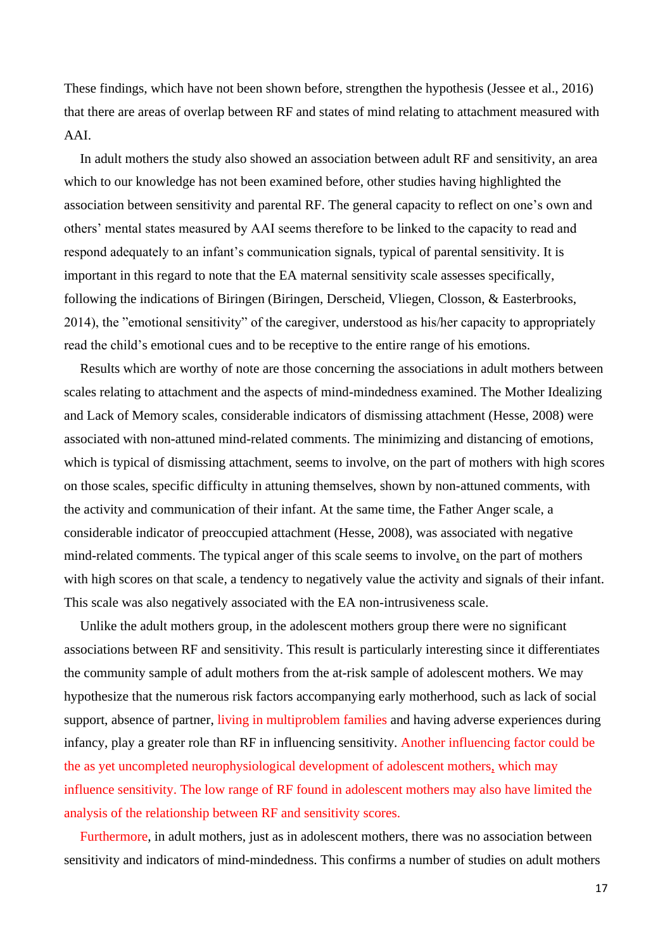These findings, which have not been shown before, strengthen the hypothesis (Jessee et al., 2016) that there are areas of overlap between RF and states of mind relating to attachment measured with AAI.

In adult mothers the study also showed an association between adult RF and sensitivity, an area which to our knowledge has not been examined before, other studies having highlighted the association between sensitivity and parental RF. The general capacity to reflect on one's own and others' mental states measured by AAI seems therefore to be linked to the capacity to read and respond adequately to an infant's communication signals, typical of parental sensitivity. It is important in this regard to note that the EA maternal sensitivity scale assesses specifically, following the indications of Biringen (Biringen, Derscheid, Vliegen, Closson, & Easterbrooks, 2014), the "emotional sensitivity" of the caregiver, understood as his/her capacity to appropriately read the child's emotional cues and to be receptive to the entire range of his emotions.

Results which are worthy of note are those concerning the associations in adult mothers between scales relating to attachment and the aspects of mind-mindedness examined. The Mother Idealizing and Lack of Memory scales, considerable indicators of dismissing attachment (Hesse, 2008) were associated with non-attuned mind-related comments. The minimizing and distancing of emotions, which is typical of dismissing attachment, seems to involve, on the part of mothers with high scores on those scales, specific difficulty in attuning themselves, shown by non-attuned comments, with the activity and communication of their infant. At the same time, the Father Anger scale, a considerable indicator of preoccupied attachment (Hesse, 2008), was associated with negative mind-related comments. The typical anger of this scale seems to involve, on the part of mothers with high scores on that scale, a tendency to negatively value the activity and signals of their infant. This scale was also negatively associated with the EA non-intrusiveness scale.

Unlike the adult mothers group, in the adolescent mothers group there were no significant associations between RF and sensitivity. This result is particularly interesting since it differentiates the community sample of adult mothers from the at-risk sample of adolescent mothers. We may hypothesize that the numerous risk factors accompanying early motherhood, such as lack of social support, absence of partner, living in multiproblem families and having adverse experiences during infancy, play a greater role than RF in influencing sensitivity. Another influencing factor could be the as yet uncompleted neurophysiological development of adolescent mothers, which may influence sensitivity. The low range of RF found in adolescent mothers may also have limited the analysis of the relationship between RF and sensitivity scores.

Furthermore, in adult mothers, just as in adolescent mothers, there was no association between sensitivity and indicators of mind-mindedness. This confirms a number of studies on adult mothers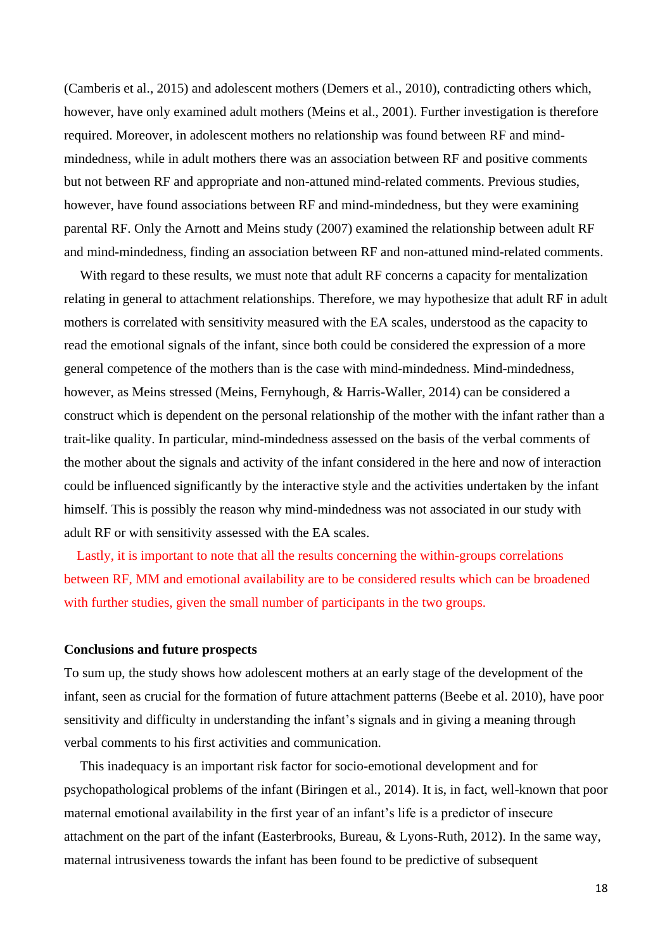(Camberis et al., 2015) and adolescent mothers (Demers et al., 2010), contradicting others which, however, have only examined adult mothers (Meins et al., 2001). Further investigation is therefore required. Moreover, in adolescent mothers no relationship was found between RF and mindmindedness, while in adult mothers there was an association between RF and positive comments but not between RF and appropriate and non-attuned mind-related comments. Previous studies, however, have found associations between RF and mind-mindedness, but they were examining parental RF. Only the Arnott and Meins study (2007) examined the relationship between adult RF and mind-mindedness, finding an association between RF and non-attuned mind-related comments.

With regard to these results, we must note that adult RF concerns a capacity for mentalization relating in general to attachment relationships. Therefore, we may hypothesize that adult RF in adult mothers is correlated with sensitivity measured with the EA scales, understood as the capacity to read the emotional signals of the infant, since both could be considered the expression of a more general competence of the mothers than is the case with mind-mindedness. Mind-mindedness, however, as Meins stressed (Meins, Fernyhough, & Harris-Waller, 2014) can be considered a construct which is dependent on the personal relationship of the mother with the infant rather than a trait-like quality. In particular, mind-mindedness assessed on the basis of the verbal comments of the mother about the signals and activity of the infant considered in the here and now of interaction could be influenced significantly by the interactive style and the activities undertaken by the infant himself. This is possibly the reason why mind-mindedness was not associated in our study with adult RF or with sensitivity assessed with the EA scales.

Lastly, it is important to note that all the results concerning the within-groups correlations between RF, MM and emotional availability are to be considered results which can be broadened with further studies, given the small number of participants in the two groups.

#### **Conclusions and future prospects**

To sum up, the study shows how adolescent mothers at an early stage of the development of the infant, seen as crucial for the formation of future attachment patterns (Beebe et al. 2010), have poor sensitivity and difficulty in understanding the infant's signals and in giving a meaning through verbal comments to his first activities and communication.

This inadequacy is an important risk factor for socio-emotional development and for psychopathological problems of the infant (Biringen et al., 2014). It is, in fact, well-known that poor maternal emotional availability in the first year of an infant's life is a predictor of insecure attachment on the part of the infant (Easterbrooks, Bureau, & Lyons-Ruth, 2012). In the same way, maternal intrusiveness towards the infant has been found to be predictive of subsequent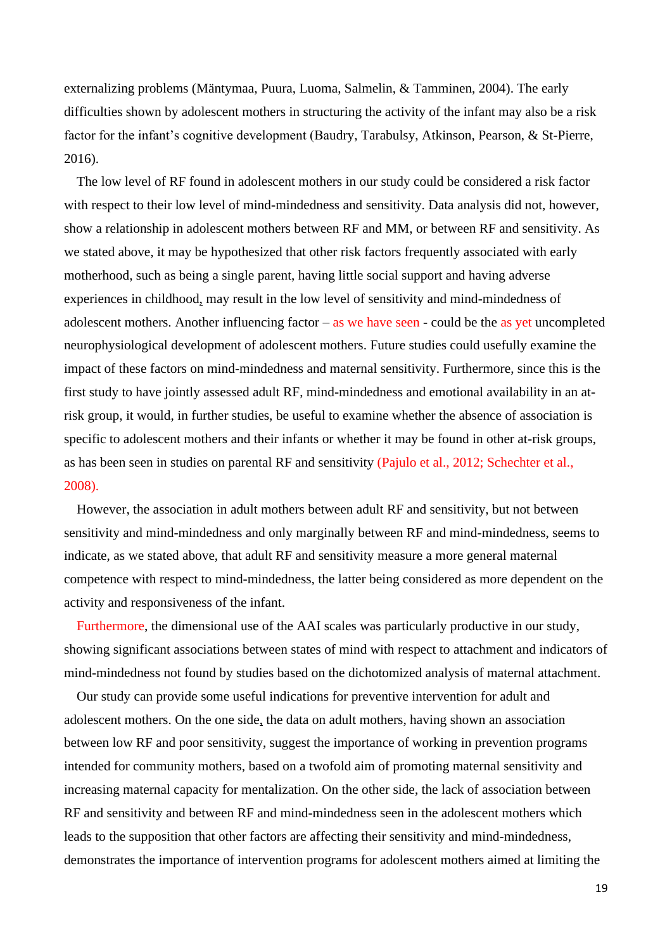externalizing problems (Mäntymaa, Puura, Luoma, Salmelin, & Tamminen, 2004). The early difficulties shown by adolescent mothers in structuring the activity of the infant may also be a risk factor for the infant's cognitive development (Baudry, Tarabulsy, Atkinson, Pearson, & St-Pierre, 2016).

The low level of RF found in adolescent mothers in our study could be considered a risk factor with respect to their low level of mind-mindedness and sensitivity. Data analysis did not, however, show a relationship in adolescent mothers between RF and MM, or between RF and sensitivity. As we stated above, it may be hypothesized that other risk factors frequently associated with early motherhood, such as being a single parent, having little social support and having adverse experiences in childhood, may result in the low level of sensitivity and mind-mindedness of adolescent mothers. Another influencing factor – as we have seen - could be the as yet uncompleted neurophysiological development of adolescent mothers. Future studies could usefully examine the impact of these factors on mind-mindedness and maternal sensitivity. Furthermore, since this is the first study to have jointly assessed adult RF, mind-mindedness and emotional availability in an atrisk group, it would, in further studies, be useful to examine whether the absence of association is specific to adolescent mothers and their infants or whether it may be found in other at-risk groups, as has been seen in studies on parental RF and sensitivity (Pajulo et al., 2012; Schechter et al., 2008).

However, the association in adult mothers between adult RF and sensitivity, but not between sensitivity and mind-mindedness and only marginally between RF and mind-mindedness, seems to indicate, as we stated above, that adult RF and sensitivity measure a more general maternal competence with respect to mind-mindedness, the latter being considered as more dependent on the activity and responsiveness of the infant.

Furthermore, the dimensional use of the AAI scales was particularly productive in our study, showing significant associations between states of mind with respect to attachment and indicators of mind-mindedness not found by studies based on the dichotomized analysis of maternal attachment.

Our study can provide some useful indications for preventive intervention for adult and adolescent mothers. On the one side, the data on adult mothers, having shown an association between low RF and poor sensitivity, suggest the importance of working in prevention programs intended for community mothers, based on a twofold aim of promoting maternal sensitivity and increasing maternal capacity for mentalization. On the other side, the lack of association between RF and sensitivity and between RF and mind-mindedness seen in the adolescent mothers which leads to the supposition that other factors are affecting their sensitivity and mind-mindedness, demonstrates the importance of intervention programs for adolescent mothers aimed at limiting the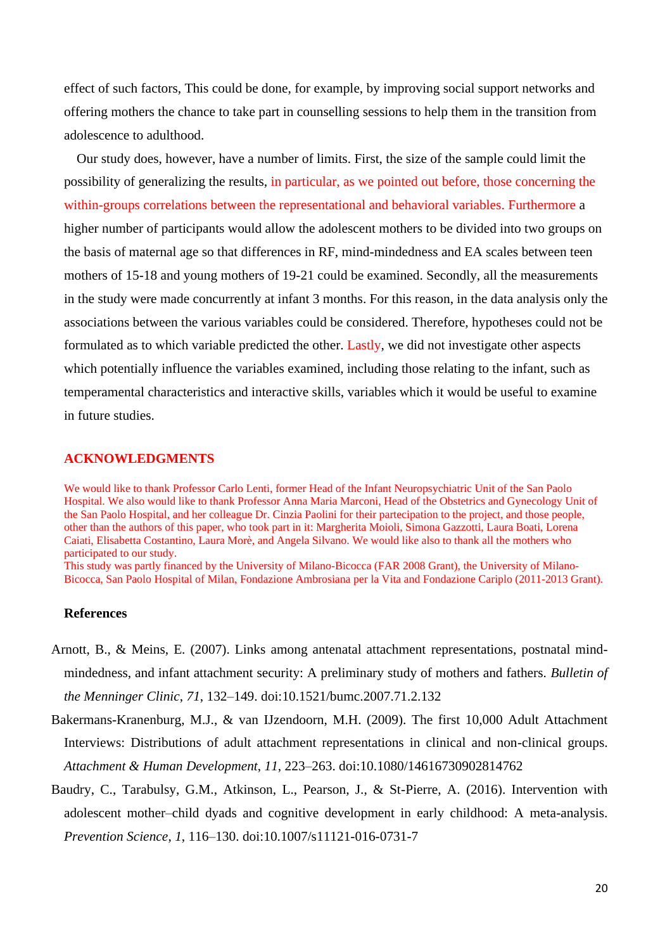effect of such factors, This could be done, for example, by improving social support networks and offering mothers the chance to take part in counselling sessions to help them in the transition from adolescence to adulthood.

Our study does, however, have a number of limits. First, the size of the sample could limit the possibility of generalizing the results, in particular, as we pointed out before, those concerning the within-groups correlations between the representational and behavioral variables. Furthermore a higher number of participants would allow the adolescent mothers to be divided into two groups on the basis of maternal age so that differences in RF, mind-mindedness and EA scales between teen mothers of 15-18 and young mothers of 19-21 could be examined. Secondly, all the measurements in the study were made concurrently at infant 3 months. For this reason, in the data analysis only the associations between the various variables could be considered. Therefore, hypotheses could not be formulated as to which variable predicted the other. Lastly, we did not investigate other aspects which potentially influence the variables examined, including those relating to the infant, such as temperamental characteristics and interactive skills, variables which it would be useful to examine in future studies.

## **ACKNOWLEDGMENTS**

We would like to thank Professor Carlo Lenti, former Head of the Infant Neuropsychiatric Unit of the San Paolo Hospital. We also would like to thank Professor Anna Maria Marconi, Head of the Obstetrics and Gynecology Unit of the San Paolo Hospital, and her colleague Dr. Cinzia Paolini for their partecipation to the project, and those people, other than the authors of this paper, who took part in it: Margherita Moioli, Simona Gazzotti, Laura Boati, Lorena Caiati, Elisabetta Costantino, Laura Morè, and Angela Silvano. We would like also to thank all the mothers who participated to our study.

This study was partly financed by the University of Milano-Bicocca (FAR 2008 Grant), the University of Milano-Bicocca, San Paolo Hospital of Milan, Fondazione Ambrosiana per la Vita and Fondazione Cariplo (2011-2013 Grant).

# **References**

- Arnott, B., & Meins, E. (2007). Links among antenatal attachment representations, postnatal mindmindedness, and infant attachment security: A preliminary study of mothers and fathers. *Bulletin of the Menninger Clinic*, *71*, 132–149. doi[:10.1521/bumc.2007.71.2.132](https://dx.doi.org/10.1521/bumc.2007.71.2.132)
- Bakermans-Kranenburg, M.J., & van IJzendoorn, M.H. (2009). The first 10,000 Adult Attachment Interviews: Distributions of adult attachment representations in clinical and non-clinical groups. *Attachment & Human Development*, *11*, 223–263. doi:10.1080/14616730902814762
- Baudry, C., Tarabulsy, G.M., Atkinson, L., Pearson, J., & St-Pierre, A. (2016). Intervention with adolescent mother–child dyads and cognitive development in early childhood: A meta-analysis. *Prevention Science*, *1*, 116–130. doi:10.1007/s11121-016-0731-7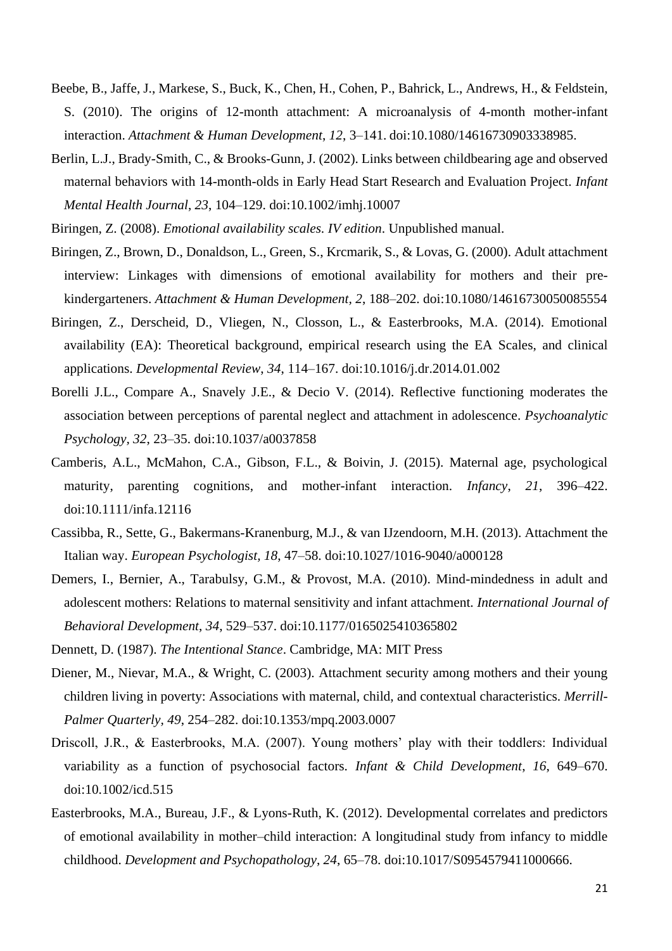- Beebe, B., Jaffe, J., Markese, S., Buck, K., Chen, H., Cohen, P., Bahrick, L., Andrews, H., & Feldstein, S. (2010). The origins of 12-month attachment: A microanalysis of 4-month mother-infant interaction. *Attachment & Human Development*, *12*, 3–141. doi:10.1080/14616730903338985.
- Berlin, L.J., Brady-Smith, C., & Brooks-Gunn, J. (2002). Links between childbearing age and observed maternal behaviors with 14-month-olds in Early Head Start Research and Evaluation Project. *Infant Mental Health Journal*, *23*, 104–129. doi:10.1002/imhj.10007
- Biringen, Z. (2008). *Emotional availability scales. IV edition*. Unpublished manual.
- Biringen, Z., Brown, D., Donaldson, L., Green, S., Krcmarik, S., & Lovas, G. (2000). Adult attachment interview: Linkages with dimensions of emotional availability for mothers and their prekindergarteners. *Attachment & Human Development, 2*, 188–202. doi:10.1080/14616730050085554
- Biringen, Z., Derscheid, D., Vliegen, N., Closson, L., & Easterbrooks, M.A. (2014). Emotional availability (EA): Theoretical background, empirical research using the EA Scales, and clinical applications. *Developmental Review*, *34*, 114–167. doi:10.1016/j.dr.2014.01.002
- Borelli J.L., Compare A., Snavely J.E., & Decio V. (2014). Reflective functioning moderates the association between perceptions of parental neglect and attachment in adolescence. *Psychoanalytic Psychology, 32*, 23–35. doi:10.1037/a0037858
- Camberis, A.L., McMahon, C.A., Gibson, F.L., & Boivin, J. (2015). Maternal age, psychological maturity, parenting cognitions, and mother-infant interaction. *Infancy*, *21*, 396–422. doi:10.1111/infa.12116
- Cassibba, R., Sette, G., Bakermans-Kranenburg, M.J., & van IJzendoorn, M.H. (2013). Attachment the Italian way. *European Psychologist, 18*, 47–58. doi:10.1027/1016-9040/a000128
- Demers, I., Bernier, A., Tarabulsy, G.M., & Provost, M.A. (2010). Mind-mindedness in adult and adolescent mothers: Relations to maternal sensitivity and infant attachment. *International Journal of Behavioral Development*, *34*, 529–537. doi:10.1177/0165025410365802
- Dennett, D. (1987). *The Intentional Stance*. Cambridge, MA: MIT Press
- Diener, M., Nievar, M.A., & Wright, C. (2003). Attachment security among mothers and their young children living in poverty: Associations with maternal, child, and contextual characteristics. *Merrill-Palmer Quarterly, 49*, 254–282. doi:10.1353/mpq.2003.0007
- Driscoll, J.R., & Easterbrooks, M.A. (2007). Young mothers' play with their toddlers: Individual variability as a function of psychosocial factors. *Infant & Child Development*, *16*, 649–670. doi:10.1002/icd.515
- Easterbrooks, M.A., Bureau, J.F., & Lyons-Ruth, K. (2012). Developmental correlates and predictors of emotional availability in mother–child interaction: A longitudinal study from infancy to middle childhood. *Development and Psychopathology*, *24*, 65–78. doi:10.1017/S0954579411000666.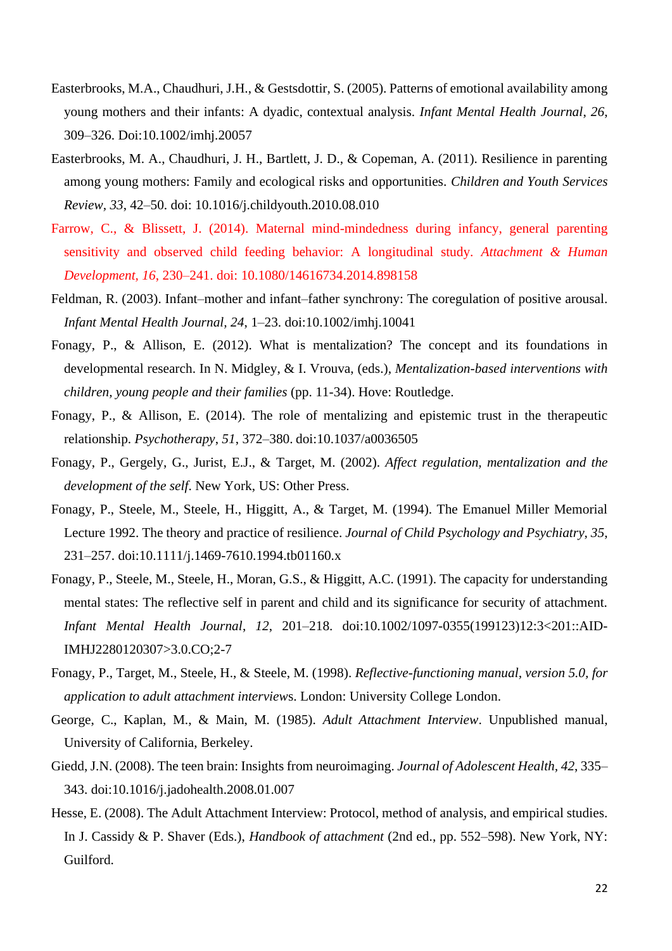- Easterbrooks, M.A., Chaudhuri, J.H., & Gestsdottir, S. (2005). Patterns of emotional availability among young mothers and their infants: A dyadic, contextual analysis. *Infant Mental Health Journal*, *26*, 309–326. Doi:10.1002/imhj.20057
- Easterbrooks, M. A., Chaudhuri, J. H., Bartlett, J. D., & Copeman, A. (2011). Resilience in parenting among young mothers: Family and ecological risks and opportunities. *Children and Youth Services Review, 33*, 42–50. doi: [10.1016/j.childyouth.2010.08.010](https://doi.org/10.1016/j.childyouth.2010.08.010)
- Farrow, C., & Blissett, J. (2014). Maternal mind-mindedness during infancy, general parenting sensitivity and observed child feeding behavior: A longitudinal study. *Attachment & Human Development, 16*, 230–241. doi: 10.1080/14616734.2014.898158
- Feldman, R. (2003). Infant–mother and infant–father synchrony: The coregulation of positive arousal. *Infant Mental Health Journal, 24*, 1–23. doi:10.1002/imhj.10041
- Fonagy, P., & Allison, E. (2012). What is mentalization? The concept and its foundations in developmental research. In N. Midgley, & I. Vrouva, (eds.), *Mentalization-based interventions with children, young people and their families* (pp. 11-34). Hove: Routledge.
- Fonagy, P., & Allison, E. (2014). The role of mentalizing and epistemic trust in the therapeutic relationship. *Psychotherapy*, *51*, 372–380. doi:10.1037/a0036505
- Fonagy, P., Gergely, G., Jurist, E.J., & Target, M. (2002). *Affect regulation, mentalization and the development of the self*. New York, US: Other Press.
- Fonagy, P., Steele, M., Steele, H., Higgitt, A., & Target, M. (1994). The Emanuel Miller Memorial Lecture 1992. The theory and practice of resilience. *Journal of Child Psychology and Psychiatry*, *35*, 231–257. doi:10.1111/j.1469-7610.1994.tb01160.x
- Fonagy, P., Steele, M., Steele, H., Moran, G.S., & Higgitt, A.C. (1991). The capacity for understanding mental states: The reflective self in parent and child and its significance for security of attachment. *Infant Mental Health Journal*, *12*, 201–218. doi:10.1002/1097-0355(199123)12:3<201::AID-IMHJ2280120307>3.0.CO;2-7
- Fonagy, P., Target, M., Steele, H., & Steele, M. (1998). *Reflective-functioning manual, version 5.0, for application to adult attachment interview*s. London: University College London.
- George, C., Kaplan, M., & Main, M. (1985). *Adult Attachment Interview*. Unpublished manual, University of California, Berkeley.
- Giedd, J.N. (2008). The teen brain: Insights from neuroimaging. *Journal of Adolescent Health, 42*, 335– 343. doi:10.1016/j.jadohealth.2008.01.007
- Hesse, E. (2008). The Adult Attachment Interview: Protocol, method of analysis, and empirical studies. In J. Cassidy & P. Shaver (Eds.), *Handbook of attachment* (2nd ed., pp. 552–598). New York, NY: Guilford.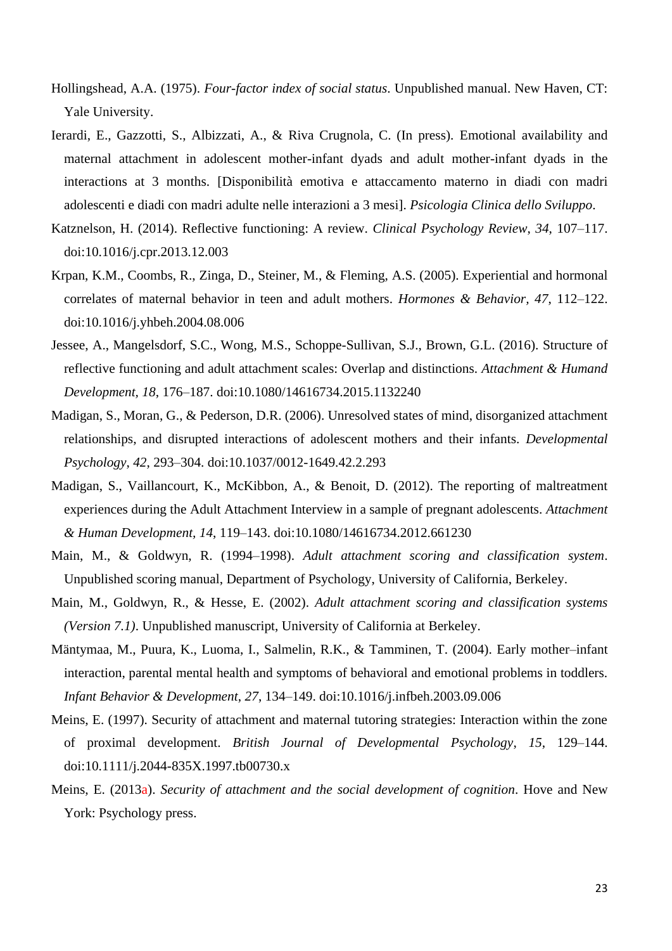- Hollingshead, A.A. (1975). *Four-factor index of social status*. Unpublished manual. New Haven, CT: Yale University.
- Ierardi, E., Gazzotti, S., Albizzati, A., & Riva Crugnola, C. (In press). Emotional availability and maternal attachment in adolescent mother-infant dyads and adult mother-infant dyads in the interactions at 3 months. [Disponibilità emotiva e attaccamento materno in diadi con madri adolescenti e diadi con madri adulte nelle interazioni a 3 mesi]. *Psicologia Clinica dello Sviluppo*.
- Katznelson, H. (2014). Reflective functioning: A review. *Clinical Psychology Review*, *34*, 107–117. doi:10.1016/j.cpr.2013.12.003
- Krpan, K.M., Coombs, R., Zinga, D., Steiner, M., & Fleming, A.S. (2005). Experiential and hormonal correlates of maternal behavior in teen and adult mothers. *Hormones & Behavior, 47*, 112–122. doi:10.1016/j.yhbeh.2004.08.006
- [Jessee, A.](https://www.ncbi.nlm.nih.gov/pubmed/?term=Jessee%20A%5BAuthor%5D&cauthor=true&cauthor_uid=26754258), [Mangelsdorf, S.C.](https://www.ncbi.nlm.nih.gov/pubmed/?term=Mangelsdorf%20SC%5BAuthor%5D&cauthor=true&cauthor_uid=26754258), [Wong, M.S.](https://www.ncbi.nlm.nih.gov/pubmed/?term=Wong%20MS%5BAuthor%5D&cauthor=true&cauthor_uid=26754258), [Schoppe-Sullivan, S.J.](https://www.ncbi.nlm.nih.gov/pubmed/?term=Schoppe-Sullivan%20SJ%5BAuthor%5D&cauthor=true&cauthor_uid=26754258), [Brown, G.L.](https://www.ncbi.nlm.nih.gov/pubmed/?term=Brown%20GL%5BAuthor%5D&cauthor=true&cauthor_uid=26754258) (2016). Structure of reflective functioning and adult attachment scales: Overlap and distinctions. *Attachment & Humand Development, 18*, 176–187. doi:10.1080/14616734.2015.1132240
- Madigan, S., Moran, G., & Pederson, D.R. (2006). Unresolved states of mind, disorganized attachment relationships, and disrupted interactions of adolescent mothers and their infants. *Developmental Psychology*, *42*, 293–304. doi:10.1037/0012-1649.42.2.293
- Madigan, S., Vaillancourt, K., McKibbon, A., & Benoit, D. (2012). The reporting of maltreatment experiences during the Adult Attachment Interview in a sample of pregnant adolescents. *Attachment & Human Development, 14*, 119–143. doi:10.1080/14616734.2012.661230
- Main, M., & Goldwyn, R. (1994–1998). *Adult attachment scoring and classification system*. Unpublished scoring manual, Department of Psychology, University of California, Berkeley.
- Main, M., Goldwyn, R., & Hesse, E. (2002). *Adult attachment scoring and classification systems (Version 7.1)*. Unpublished manuscript, University of California at Berkeley.
- Mäntymaa, M., Puura, K., Luoma, I., Salmelin, R.K., & Tamminen, T. (2004). Early mother–infant interaction, parental mental health and symptoms of behavioral and emotional problems in toddlers. *Infant Behavior & Development*, *27*, 134–149. doi:10.1016/j.infbeh.2003.09.006
- Meins, E. (1997). Security of attachment and maternal tutoring strategies: Interaction within the zone of proximal development. *British Journal of Developmental Psychology*, *15*, 129–144. doi:10.1111/j.2044-835X.1997.tb00730.x
- Meins, E. (2013a). *Security of attachment and the social development of cognition*. Hove and New York: Psychology press.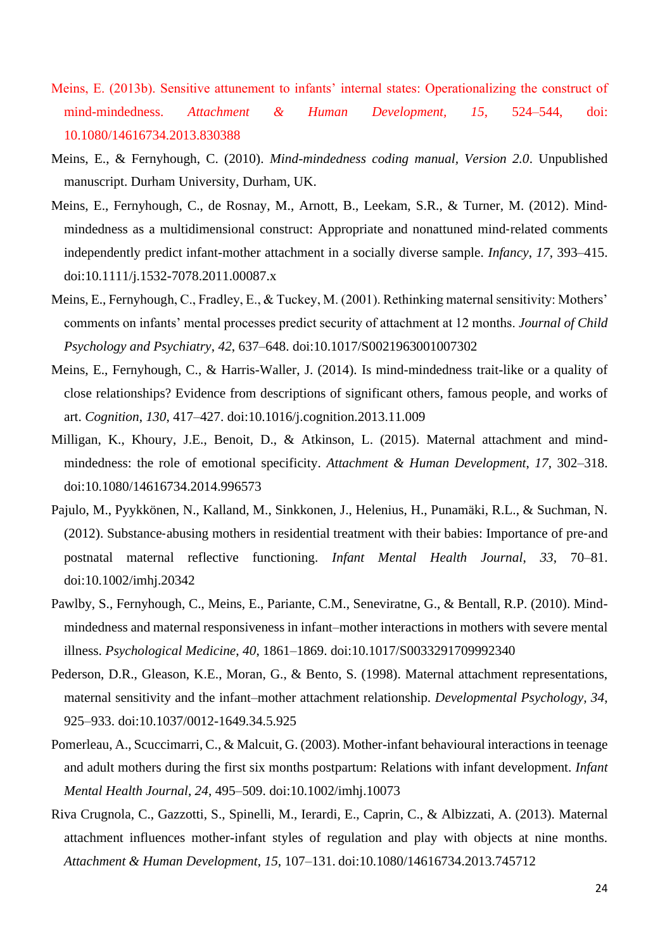- Meins, E. (2013b). Sensitive attunement to infants' internal states: Operationalizing the construct of mind-mindedness. *Attachment & Human Development, 15*, 524–544, doi: 10.1080/14616734.2013.830388
- Meins, E., & Fernyhough, C. (2010). *Mind-mindedness coding manual, Version 2.0*. Unpublished manuscript. Durham University, Durham, UK.
- Meins, E., Fernyhough, C., de Rosnay, M., Arnott, B., Leekam, S.R., & Turner, M. (2012). Mindmindedness as a multidimensional construct: Appropriate and nonattuned mind‐related comments independently predict infant-mother attachment in a socially diverse sample. *Infancy*, *17*, 393–415. doi:10.1111/j.1532-7078.2011.00087.x
- Meins, E., Fernyhough, C., Fradley, E., & Tuckey, M. (2001). Rethinking maternal sensitivity: Mothers' comments on infants' mental processes predict security of attachment at 12 months. *Journal of Child Psychology and Psychiatry*, *42*, 637–648. doi:10.1017/S0021963001007302
- Meins, E., Fernyhough, C., & Harris-Waller, J. (2014). Is mind-mindedness trait-like or a quality of close relationships? Evidence from descriptions of significant others, famous people, and works of art. *Cognition*, *130*, 417–427. doi:10.1016/j.cognition.2013.11.009
- Milligan, K., Khoury, J.E., Benoit, D., & Atkinson, L. (2015). Maternal attachment and mindmindedness: the role of emotional specificity. *Attachment & Human Development*, *17*, 302–318. doi:10.1080/14616734.2014.996573
- Pajulo, M., Pyykkönen, N., Kalland, M., Sinkkonen, J., Helenius, H., Punamäki, R.L., & Suchman, N. (2012). Substance‐abusing mothers in residential treatment with their babies: Importance of pre‐and postnatal maternal reflective functioning. *Infant Mental Health Journal*, *33*, 70–81. doi:10.1002/imhj.20342
- Pawlby, S., Fernyhough, C., Meins, E., Pariante, C.M., Seneviratne, G., & Bentall, R.P. (2010). Mindmindedness and maternal responsiveness in infant–mother interactions in mothers with severe mental illness. *Psychological Medicine*, *40*, 1861–1869. doi:10.1017/S0033291709992340
- Pederson, D.R., Gleason, K.E., Moran, G., & Bento, S. (1998). Maternal attachment representations, maternal sensitivity and the infant–mother attachment relationship. *Developmental Psychology, 34*, 925–933. doi:10.1037/0012-1649.34.5.925
- Pomerleau, A., Scuccimarri, C., & Malcuit, G. (2003). Mother-infant behavioural interactions in teenage and adult mothers during the first six months postpartum: Relations with infant development. *Infant Mental Health Journal*, *24*, 495–509. doi:10.1002/imhj.10073
- Riva Crugnola, C., Gazzotti, S., Spinelli, M., Ierardi, E., Caprin, C., & Albizzati, A. (2013). Maternal attachment influences mother-infant styles of regulation and play with objects at nine months. *Attachment & Human Development*, *15*, 107–131. doi:10.1080/14616734.2013.745712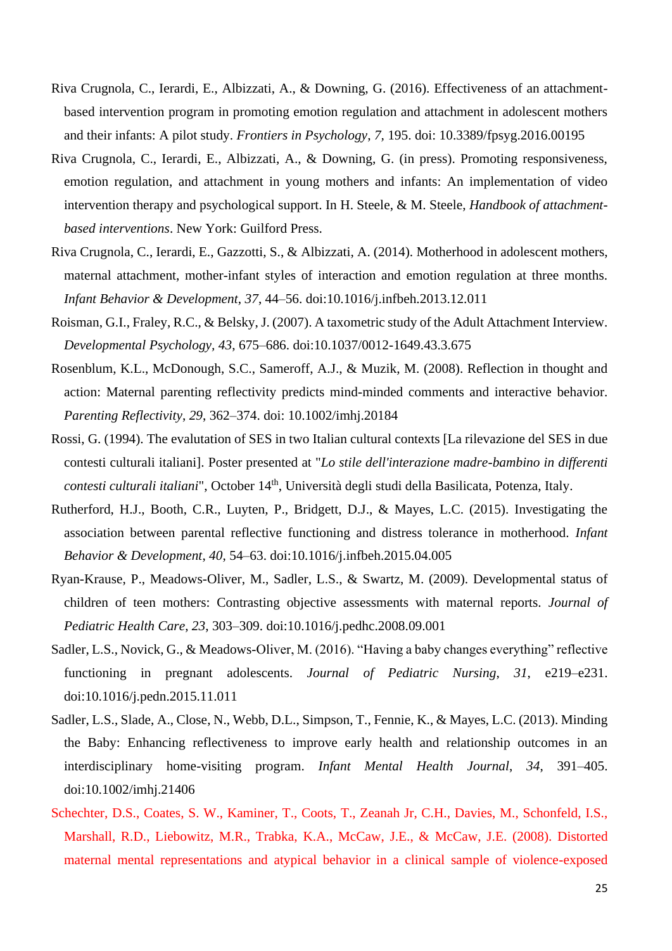- Riva Crugnola, C., Ierardi, E., Albizzati, A., & Downing, G. (2016). Effectiveness of an attachmentbased intervention program in promoting emotion regulation and attachment in adolescent mothers and their infants: A pilot study. *Frontiers in Psychology*, *7,* 195. doi: [10.3389/fpsyg.2016.00195](https://dx.doi.org/10.3389%2Ffpsyg.2016.00195)
- Riva Crugnola, C., Ierardi, E., Albizzati, A., & Downing, G. (in press). Promoting responsiveness, emotion regulation, and attachment in young mothers and infants: An implementation of video intervention therapy and psychological support. In H. Steele, & M. Steele, *Handbook of attachmentbased interventions*. New York: Guilford Press.
- Riva Crugnola, C., Ierardi, E., Gazzotti, S., & Albizzati, A. (2014). Motherhood in adolescent mothers, maternal attachment, mother-infant styles of interaction and emotion regulation at three months. *Infant Behavior & Development*, *37*, 44–56. doi:10.1016/j.infbeh.2013.12.011
- Roisman, G.I., Fraley, R.C., & Belsky, J. (2007). A taxometric study of the Adult Attachment Interview. *Developmental Psychology, 43*, 675–686. doi[:10.1037/0012-1649.43.3.675](https://dx.doi.org/10.1037/0012-1649.43.3.675)
- Rosenblum, K.L., McDonough, S.C., Sameroff, A.J., & Muzik, M. (2008). Reflection in thought and action: Maternal parenting reflectivity predicts mind-minded comments and interactive behavior. *Parenting Reflectivity*, *29*, 362–374. doi: 10.1002/imhj.20184
- Rossi, G. (1994). The evalutation of SES in two Italian cultural contexts [La rilevazione del SES in due contesti culturali italiani]. Poster presented at "*Lo stile dell'interazione madre-bambino in differenti contesti culturali italiani*", October 14th , Università degli studi della Basilicata, Potenza, Italy.
- Rutherford, H.J., Booth, C.R., Luyten, P., Bridgett, D.J., & Mayes, L.C. (2015). Investigating the association between parental reflective functioning and distress tolerance in motherhood. *Infant Behavior & Development*, *40*, 54–63. doi[:10.1016/j.infbeh.2015.04.005](https://dx.doi.org/10.1016%2Fj.infbeh.2015.04.005)
- Ryan-Krause, P., Meadows-Oliver, M., Sadler, L.S., & Swartz, M. (2009). Developmental status of children of teen mothers: Contrasting objective assessments with maternal reports. *Journal of Pediatric Health Care*, *23*, 303–309. doi:10.1016/j.pedhc.2008.09.001
- Sadler, L.S., Novick, G., & Meadows-Oliver, M. (2016). "Having a baby changes everything" reflective functioning in pregnant adolescents. *Journal of Pediatric Nursing*, *31*, e219–e231. doi:10.1016/j.pedn.2015.11.011
- Sadler, L.S., Slade, A., Close, N., Webb, D.L., Simpson, T., Fennie, K., & Mayes, L.C. (2013). Minding the Baby: Enhancing reflectiveness to improve early health and relationship outcomes in an interdisciplinary home-visiting program. *Infant Mental Health Journal*, *34*, 391–405. doi:10.1002/imhj.21406
- Schechter, D.S., Coates, S. W., Kaminer, T., Coots, T., Zeanah Jr, C.H., Davies, M., Schonfeld, I.S., Marshall, R.D., Liebowitz, M.R., Trabka, K.A., McCaw, J.E., & McCaw, J.E. (2008). Distorted maternal mental representations and atypical behavior in a clinical sample of violence-exposed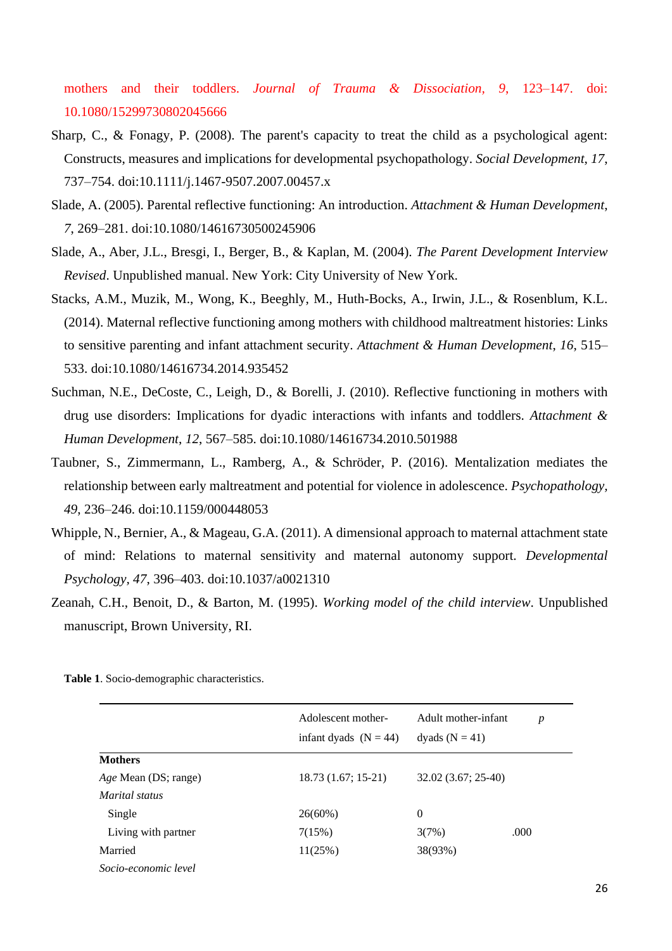mothers and their toddlers. *Journal of Trauma & Dissociation, 9*, 123–147. doi: [10.1080/15299730802045666](https://dx.doi.org/10.1080%2F15299730802045666)

- Sharp, C., & Fonagy, P. (2008). The parent's capacity to treat the child as a psychological agent: Constructs, measures and implications for developmental psychopathology. *Social Development*, *17*, 737–754. doi:10.1111/j.1467-9507.2007.00457.x
- Slade, A. (2005). Parental reflective functioning: An introduction. *Attachment & Human Development*, *7*, 269–281. doi:10.1080/14616730500245906
- Slade, A., Aber, J.L., Bresgi, I., Berger, B., & Kaplan, M. (2004). *The Parent Development Interview Revised*. Unpublished manual. New York: City University of New York.
- Stacks, A.M., Muzik, M., Wong, K., Beeghly, M., Huth-Bocks, A., Irwin, J.L., & Rosenblum, K.L. (2014). Maternal reflective functioning among mothers with childhood maltreatment histories: Links to sensitive parenting and infant attachment security. *Attachment & Human Development*, *16*, 515– 533. doi:10.1080/14616734.2014.935452
- Suchman, N.E., DeCoste, C., Leigh, D., & Borelli, J. (2010). Reflective functioning in mothers with drug use disorders: Implications for dyadic interactions with infants and toddlers. *Attachment & Human Development*, *12*, 567–585. doi:10.1080/14616734.2010.501988
- Taubner, S., Zimmermann, L., Ramberg, A., & Schröder, P. (2016). Mentalization mediates the relationship between early maltreatment and potential for violence in adolescence. *Psychopathology, 49*, 236–246. doi:10.1159/000448053
- Whipple, N., Bernier, A., & Mageau, G.A. (2011). A dimensional approach to maternal attachment state of mind: Relations to maternal sensitivity and maternal autonomy support. *Developmental Psychology, 47*, 396–403. doi:10.1037/a0021310
- Zeanah, C.H., Benoit, D., & Barton, M. (1995). *Working model of the child interview*. Unpublished manuscript, Brown University, RI.

**Table 1**. Socio-demographic characteristics.

|                             | Adolescent mother-<br>infant dyads $(N = 44)$ | Adult mother-infant<br>dyads $(N = 41)$ | p    |
|-----------------------------|-----------------------------------------------|-----------------------------------------|------|
| <b>Mothers</b>              |                                               |                                         |      |
| <i>Age</i> Mean (DS; range) | 18.73 (1.67; 15-21)                           | 32.02 (3.67; 25-40)                     |      |
| Marital status              |                                               |                                         |      |
| Single                      | $26(60\%)$                                    | $\theta$                                |      |
| Living with partner         | 7(15%)                                        | 3(7%)                                   | .000 |
| Married                     | 11(25%)                                       | 38(93%)                                 |      |
| Socio-economic level        |                                               |                                         |      |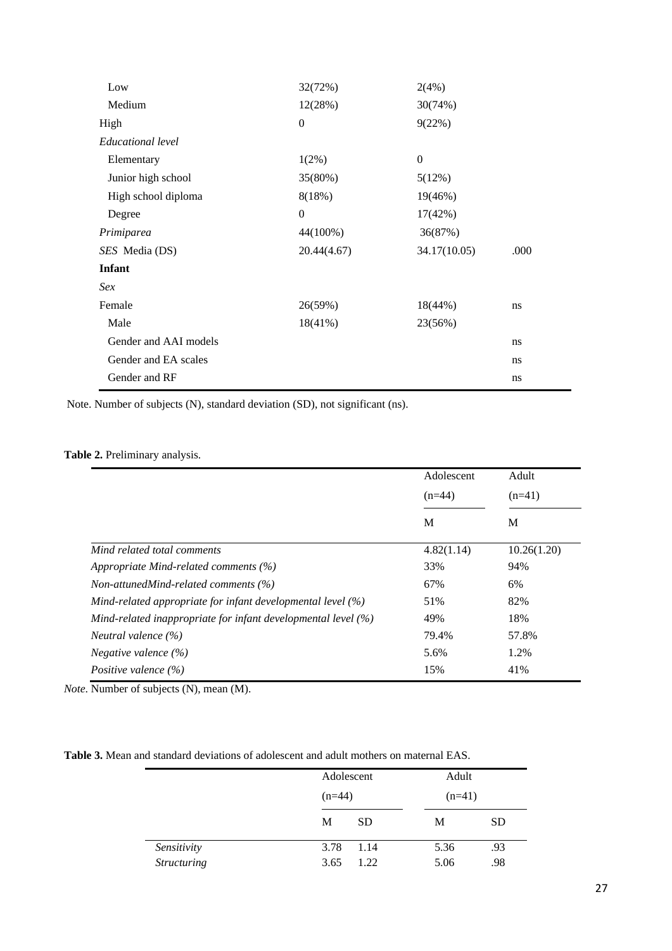| Low                   | 32(72%)     | 2(4%)        |      |
|-----------------------|-------------|--------------|------|
| Medium                | 12(28%)     | 30(74%)      |      |
| High                  | $\theta$    | 9(22%)       |      |
| Educational level     |             |              |      |
| Elementary            | $1(2\%)$    | $\mathbf{0}$ |      |
| Junior high school    | 35(80%)     | 5(12%)       |      |
| High school diploma   | 8(18%)      | 19(46%)      |      |
| Degree                | $\theta$    | 17(42%)      |      |
| Primiparea            | 44(100%)    | 36(87%)      |      |
| SES Media (DS)        | 20.44(4.67) | 34.17(10.05) | .000 |
| <b>Infant</b>         |             |              |      |
| Sex                   |             |              |      |
| Female                | 26(59%)     | 18(44%)      | ns   |
| Male                  | $18(41\%)$  | 23(56%)      |      |
| Gender and AAI models |             |              | ns   |
| Gender and EA scales  |             |              | ns   |
| Gender and RF         |             |              | ns   |

Note. Number of subjects (N), standard deviation (SD), not significant (ns).

# **Table 2.** Preliminary analysis.

|                                                                  | Adolescent<br>$(n=44)$ | Adult<br>$(n=41)$ |
|------------------------------------------------------------------|------------------------|-------------------|
|                                                                  | M                      | М                 |
| Mind related total comments                                      | 4.82(1.14)             | 10.26(1.20)       |
| Appropriate Mind-related comments $(\%)$                         | 33%                    | 94%               |
| Non-attunedMind-related comments $(\%)$                          | 67%                    | 6%                |
| Mind-related appropriate for infant developmental level $(\%)$   | 51%                    | 82%               |
| Mind-related inappropriate for infant developmental level $(\%)$ | 49%                    | 18%               |
| Neutral valence $(\% )$                                          | 79.4%                  | 57.8%             |
| Negative valence $(\%)$                                          | 5.6%                   | 1.2%              |
| Positive valence $(\%)$                                          | 15%                    | 41%               |

*Note*. Number of subjects (N), mean (M).

| <b>Table 3.</b> Mean and standard deviations of adolescent and adult mothers on maternal EAS. |  |
|-----------------------------------------------------------------------------------------------|--|
|-----------------------------------------------------------------------------------------------|--|

|                    | Adolescent |           |          | Adult     |  |  |  |
|--------------------|------------|-----------|----------|-----------|--|--|--|
|                    | $(n=44)$   |           | $(n=41)$ |           |  |  |  |
|                    | М          | <b>SD</b> | М        | <b>SD</b> |  |  |  |
| Sensitivity        | 3.78       | 1.14      | 5.36     | .93       |  |  |  |
| <b>Structuring</b> | 3.65       | 1.22      | 5.06     | .98       |  |  |  |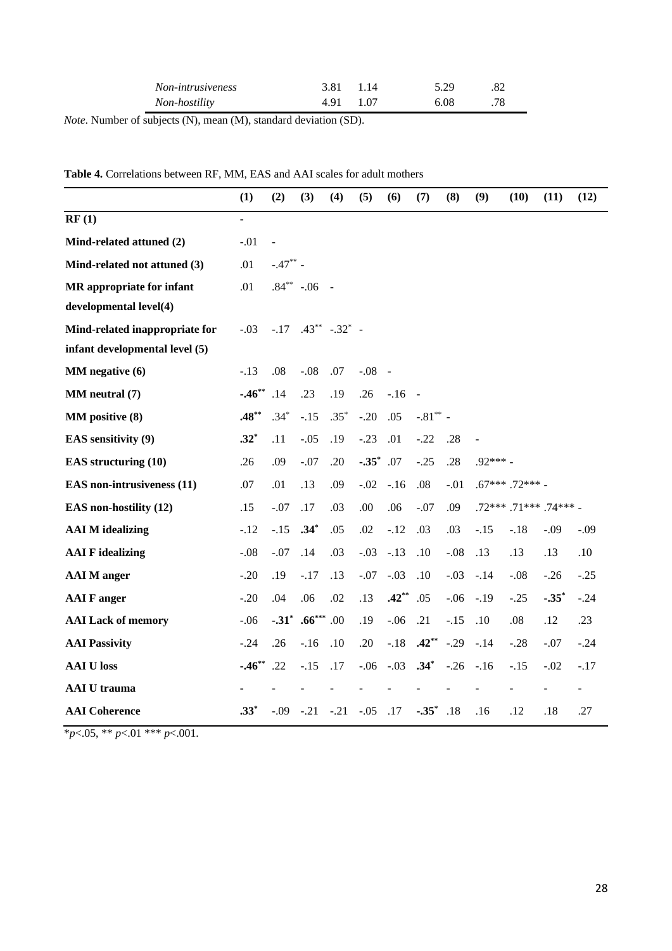| Non-intrusiveness | 3.81 | - 14 | 5.29 |  |
|-------------------|------|------|------|--|
| Non-hostility     | 4.91 | 1.07 | 6.08 |  |

*Note*. Number of subjects (N), mean (M), standard deviation (SD).

**Table 4.** Correlations between RF, MM, EAS and AAI scales for adult mothers

|                                   | (1)                      | (2)       | (3)               | (4)                     | (5)     | (6)     | (7)          | (8)    | (9)        | (10)                     | (11)    | (12)                     |
|-----------------------------------|--------------------------|-----------|-------------------|-------------------------|---------|---------|--------------|--------|------------|--------------------------|---------|--------------------------|
| RF(1)                             | $\overline{\phantom{a}}$ |           |                   |                         |         |         |              |        |            |                          |         |                          |
| Mind-related attuned (2)          | $-.01$                   |           |                   |                         |         |         |              |        |            |                          |         |                          |
| Mind-related not attuned (3)      | .01                      | $-.47***$ |                   |                         |         |         |              |        |            |                          |         |                          |
| MR appropriate for infant         | .01                      |           | $.84^{**}$ -.06 - |                         |         |         |              |        |            |                          |         |                          |
| developmental level(4)            |                          |           |                   |                         |         |         |              |        |            |                          |         |                          |
| Mind-related inappropriate for    | $-.03$                   | $-.17$    |                   | $.43^{**}$ $-.32^{*}$ - |         |         |              |        |            |                          |         |                          |
| infant developmental level (5)    |                          |           |                   |                         |         |         |              |        |            |                          |         |                          |
| MM negative (6)                   | $-.13$                   | .08       | $-.08$            | .07                     | $-.08$  |         |              |        |            |                          |         |                          |
| MM neutral (7)                    | $-.46***$                | .14       | .23               | .19                     | .26     | $-.16$  |              |        |            |                          |         |                          |
| MM positive (8)                   | $.48***$                 | $.34*$    | $-.15$            | $.35*$                  | $-.20$  | .05     | $-.81***$    |        |            |                          |         |                          |
| EAS sensitivity (9)               | $.32*$                   | .11       | $-.05$            | .19                     | $-.23$  | .01     | $-.22$       | .28    |            |                          |         |                          |
| <b>EAS</b> structuring (10)       | .26                      | .09       | $-.07$            | .20                     | $-.35*$ | .07     | $-.25$       | .28    | $.92***$ . |                          |         |                          |
| <b>EAS</b> non-intrusiveness (11) | .07                      | .01       | .13               | .09                     | $-.02$  | $-.16$  | .08          | $-.01$ |            | $.67***.72***.$          |         |                          |
| EAS non-hostility (12)            | .15                      | $-.07$    | .17               | .03                     | .00.    | .06     | $-.07$       | .09    |            | $.72***$ .71*** .74*** - |         |                          |
| <b>AAI</b> M idealizing           | $-.12$                   | $-.15$    | $.34*$            | .05                     | .02     | $-.12$  | .03          | .03    | $-.15$     | $-.18$                   | $-.09$  | $-.09$                   |
| <b>AAI</b> F idealizing           | $-.08$                   | $-.07$    | .14               | .03                     | $-.03$  | $-.13$  | .10          | $-.08$ | .13        | .13                      | .13     | .10                      |
| <b>AAI</b> M anger                | $-.20$                   | .19       | $-.17$            | .13                     | $-.07$  | $-.03$  | .10          | $-.03$ | $-.14$     | $-.08$                   | $-.26$  | $-.25$                   |
| <b>AAI</b> F anger                | $-.20$                   | .04       | .06               | .02                     | .13     | $.42**$ | .05          | $-.06$ | $-.19$     | $-.25$                   | $-.35*$ | $-.24$                   |
| <b>AAI</b> Lack of memory         | $-.06$                   | $-.31*$   | $.66***$          | .00                     | .19     | $-.06$  | .21          | $-.15$ | .10        | $.08\,$                  | .12     | .23                      |
| <b>AAI Passivity</b>              | $-.24$                   | .26       | $-.16$            | .10                     | .20     | $-.18$  | $.42**$      | $-.29$ | $-.14$     | $-.28$                   | $-.07$  | $-.24$                   |
| <b>AAI U loss</b>                 | $-.46***$                | .22       | $-.15$            | .17                     | $-.06$  | $-.03$  | $.34*$       | $-.26$ | $-.16$     | $-.15$                   | $-.02$  | $-.17$                   |
| <b>AAI U</b> trauma               |                          |           |                   |                         |         |         |              |        |            |                          |         | $\overline{\phantom{a}}$ |
| <b>AAI</b> Coherence              | $.33*$                   | $-.09$    | $-.21$            | $-.21$                  | $-.05$  | .17     | $-.35^*$ .18 |        | .16        | .12                      | .18     | .27                      |

\**p*<.05, \*\* *p*<.01 \*\*\* *p*<.001.